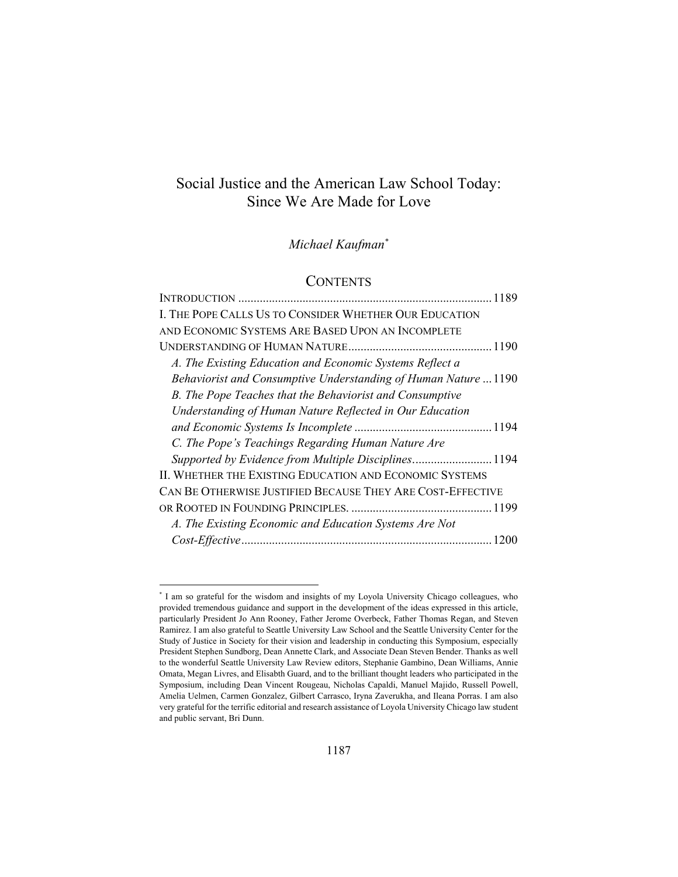# Social Justice and the American Law School Today: Since We Are Made for Love

*Michael Kaufman\**

## **CONTENTS**

| I. THE POPE CALLS US TO CONSIDER WHETHER OUR EDUCATION          |  |
|-----------------------------------------------------------------|--|
| AND ECONOMIC SYSTEMS ARE BASED UPON AN INCOMPLETE               |  |
|                                                                 |  |
| A. The Existing Education and Economic Systems Reflect a        |  |
| Behaviorist and Consumptive Understanding of Human Nature  1190 |  |
| B. The Pope Teaches that the Behaviorist and Consumptive        |  |
| Understanding of Human Nature Reflected in Our Education        |  |
|                                                                 |  |
| C. The Pope's Teachings Regarding Human Nature Are              |  |
| Supported by Evidence from Multiple Disciplines1194             |  |
| II. WHETHER THE EXISTING EDUCATION AND ECONOMIC SYSTEMS         |  |
| CAN BE OTHERWISE JUSTIFIED BECAUSE THEY ARE COST-EFFECTIVE      |  |
|                                                                 |  |
| A. The Existing Economic and Education Systems Are Not          |  |
|                                                                 |  |

<sup>\*</sup> I am so grateful for the wisdom and insights of my Loyola University Chicago colleagues, who provided tremendous guidance and support in the development of the ideas expressed in this article, particularly President Jo Ann Rooney, Father Jerome Overbeck, Father Thomas Regan, and Steven Ramirez. I am also grateful to Seattle University Law School and the Seattle University Center for the Study of Justice in Society for their vision and leadership in conducting this Symposium, especially President Stephen Sundborg, Dean Annette Clark, and Associate Dean Steven Bender. Thanks as well to the wonderful Seattle University Law Review editors, Stephanie Gambino, Dean Williams, Annie Omata, Megan Livres, and Elisabth Guard, and to the brilliant thought leaders who participated in the Symposium, including Dean Vincent Rougeau, Nicholas Capaldi, Manuel Majido, Russell Powell, Amelia Uelmen, Carmen Gonzalez, Gilbert Carrasco, Iryna Zaverukha, and Ileana Porras. I am also very grateful for the terrific editorial and research assistance of Loyola University Chicago law student and public servant, Bri Dunn.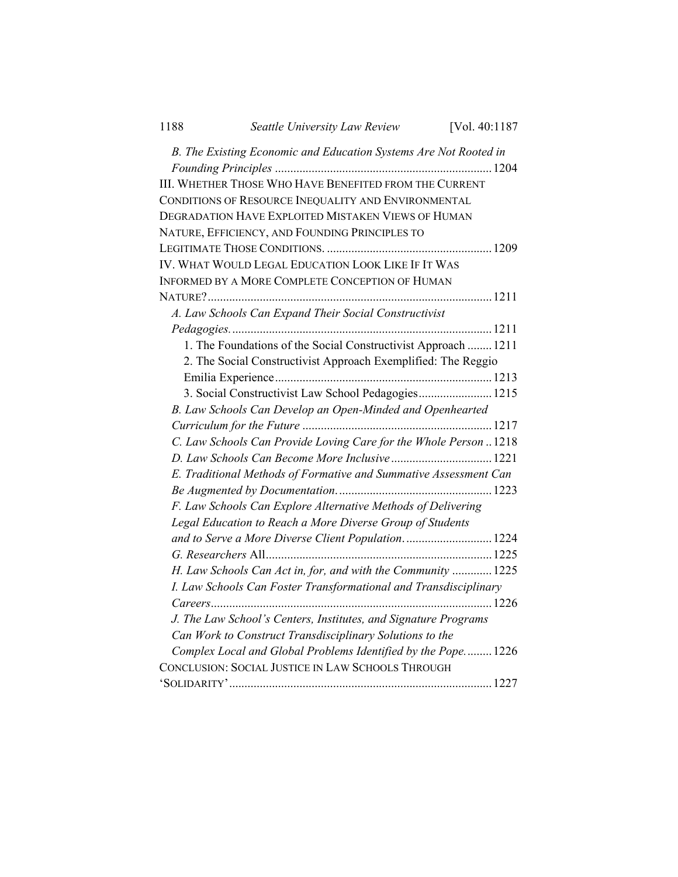| 1188                                                          | Seattle University Law Review                                     | [Vol. 40:1187 |  |
|---------------------------------------------------------------|-------------------------------------------------------------------|---------------|--|
|                                                               | B. The Existing Economic and Education Systems Are Not Rooted in  |               |  |
|                                                               | III. WHETHER THOSE WHO HAVE BENEFITED FROM THE CURRENT            |               |  |
|                                                               | CONDITIONS OF RESOURCE INEQUALITY AND ENVIRONMENTAL               |               |  |
|                                                               | DEGRADATION HAVE EXPLOITED MISTAKEN VIEWS OF HUMAN                |               |  |
|                                                               | NATURE, EFFICIENCY, AND FOUNDING PRINCIPLES TO                    |               |  |
|                                                               |                                                                   |               |  |
|                                                               | IV. WHAT WOULD LEGAL EDUCATION LOOK LIKE IF IT WAS                |               |  |
|                                                               | INFORMED BY A MORE COMPLETE CONCEPTION OF HUMAN                   |               |  |
|                                                               |                                                                   |               |  |
|                                                               | A. Law Schools Can Expand Their Social Constructivist             |               |  |
|                                                               |                                                                   |               |  |
|                                                               | 1. The Foundations of the Social Constructivist Approach  1211    |               |  |
| 2. The Social Constructivist Approach Exemplified: The Reggio |                                                                   |               |  |
|                                                               |                                                                   |               |  |
|                                                               | 3. Social Constructivist Law School Pedagogies 1215               |               |  |
|                                                               | B. Law Schools Can Develop an Open-Minded and Openhearted         |               |  |
|                                                               |                                                                   |               |  |
|                                                               | C. Law Schools Can Provide Loving Care for the Whole Person  1218 |               |  |
|                                                               |                                                                   |               |  |
|                                                               | E. Traditional Methods of Formative and Summative Assessment Can  |               |  |
|                                                               |                                                                   |               |  |
|                                                               | F. Law Schools Can Explore Alternative Methods of Delivering      |               |  |
|                                                               | Legal Education to Reach a More Diverse Group of Students         |               |  |
|                                                               | and to Serve a More Diverse Client Population 1224                |               |  |
|                                                               |                                                                   |               |  |
|                                                               | H. Law Schools Can Act in, for, and with the Community  1225      |               |  |
|                                                               | I. Law Schools Can Foster Transformational and Transdisciplinary  |               |  |
|                                                               |                                                                   |               |  |
|                                                               | J. The Law School's Centers, Institutes, and Signature Programs   |               |  |
|                                                               | Can Work to Construct Transdisciplinary Solutions to the          |               |  |
|                                                               | Complex Local and Global Problems Identified by the Pope 1226     |               |  |
|                                                               | CONCLUSION: SOCIAL JUSTICE IN LAW SCHOOLS THROUGH                 |               |  |
|                                                               |                                                                   |               |  |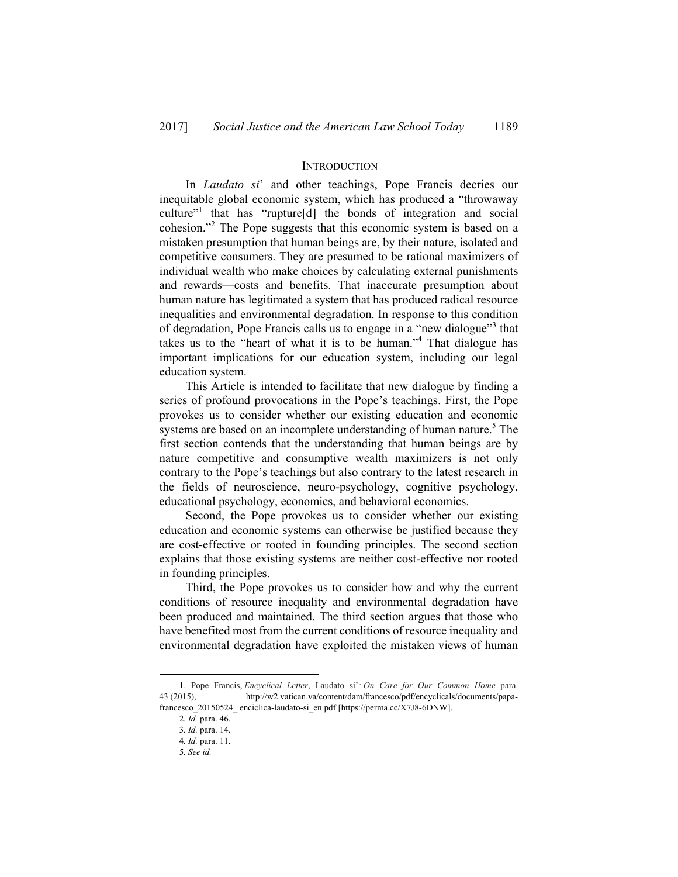#### **INTRODUCTION**

In *Laudato si*' and other teachings, Pope Francis decries our inequitable global economic system, which has produced a "throwaway culture"1 that has "rupture[d] the bonds of integration and social cohesion."2 The Pope suggests that this economic system is based on a mistaken presumption that human beings are, by their nature, isolated and competitive consumers. They are presumed to be rational maximizers of individual wealth who make choices by calculating external punishments and rewards—costs and benefits. That inaccurate presumption about human nature has legitimated a system that has produced radical resource inequalities and environmental degradation. In response to this condition of degradation, Pope Francis calls us to engage in a "new dialogue"<sup>3</sup> that takes us to the "heart of what it is to be human."4 That dialogue has important implications for our education system, including our legal education system.

This Article is intended to facilitate that new dialogue by finding a series of profound provocations in the Pope's teachings. First, the Pope provokes us to consider whether our existing education and economic systems are based on an incomplete understanding of human nature.<sup>5</sup> The first section contends that the understanding that human beings are by nature competitive and consumptive wealth maximizers is not only contrary to the Pope's teachings but also contrary to the latest research in the fields of neuroscience, neuro-psychology, cognitive psychology, educational psychology, economics, and behavioral economics.

Second, the Pope provokes us to consider whether our existing education and economic systems can otherwise be justified because they are cost-effective or rooted in founding principles. The second section explains that those existing systems are neither cost-effective nor rooted in founding principles.

Third, the Pope provokes us to consider how and why the current conditions of resource inequality and environmental degradation have been produced and maintained. The third section argues that those who have benefited most from the current conditions of resource inequality and environmental degradation have exploited the mistaken views of human

 <sup>1.</sup> Pope Francis, *Encyclical Letter*, Laudato si'*: On Care for Our Common Home* para. 43 (2015), http://w2.vatican.va/content/dam/francesco/pdf/encyclicals/documents/papafrancesco 20150524\_ enciclica-laudato-si\_en.pdf [https://perma.cc/X7J8-6DNW].

<sup>2</sup>*. Id.* para. 46.

<sup>3</sup>*. Id.* para. 14.

<sup>4</sup>*. Id.* para. 11.

<sup>5</sup>*. See id.*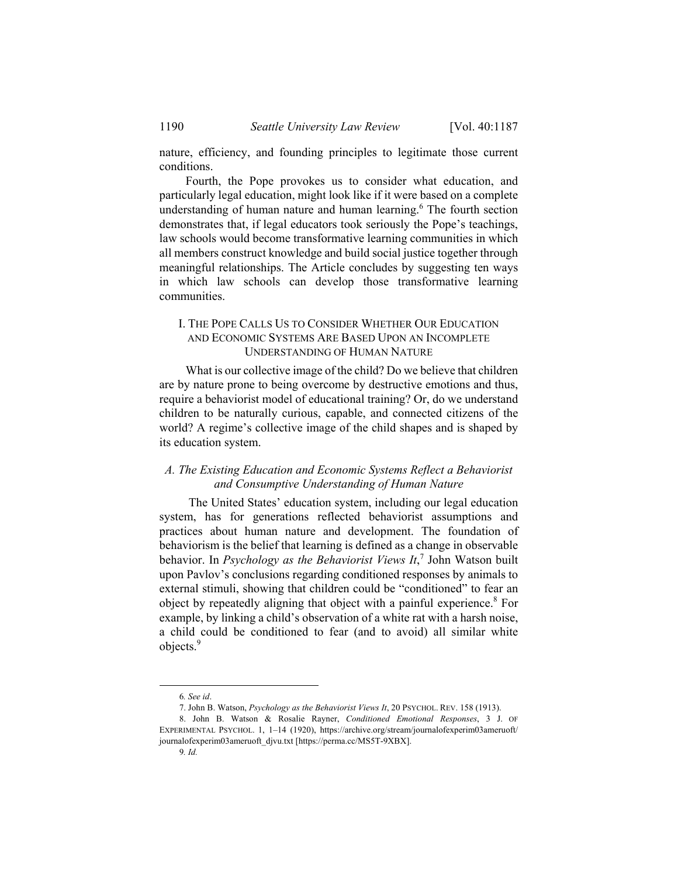nature, efficiency, and founding principles to legitimate those current conditions.

Fourth, the Pope provokes us to consider what education, and particularly legal education, might look like if it were based on a complete understanding of human nature and human learning.<sup>6</sup> The fourth section demonstrates that, if legal educators took seriously the Pope's teachings, law schools would become transformative learning communities in which all members construct knowledge and build social justice together through meaningful relationships. The Article concludes by suggesting ten ways in which law schools can develop those transformative learning communities.

## I. THE POPE CALLS US TO CONSIDER WHETHER OUR EDUCATION AND ECONOMIC SYSTEMS ARE BASED UPON AN INCOMPLETE UNDERSTANDING OF HUMAN NATURE

What is our collective image of the child? Do we believe that children are by nature prone to being overcome by destructive emotions and thus, require a behaviorist model of educational training? Or, do we understand children to be naturally curious, capable, and connected citizens of the world? A regime's collective image of the child shapes and is shaped by its education system.

## *A. The Existing Education and Economic Systems Reflect a Behaviorist and Consumptive Understanding of Human Nature*

 The United States' education system, including our legal education system, has for generations reflected behaviorist assumptions and practices about human nature and development. The foundation of behaviorism is the belief that learning is defined as a change in observable behavior. In *Psychology as the Behaviorist Views It*, 7 John Watson built upon Pavlov's conclusions regarding conditioned responses by animals to external stimuli, showing that children could be "conditioned" to fear an object by repeatedly aligning that object with a painful experience.<sup>8</sup> For example, by linking a child's observation of a white rat with a harsh noise, a child could be conditioned to fear (and to avoid) all similar white objects.<sup>9</sup>

 <sup>6</sup>*. See id*.

 <sup>7.</sup> John B. Watson, *Psychology as the Behaviorist Views It*, 20 PSYCHOL. REV. 158 (1913).

 <sup>8.</sup> John B. Watson & Rosalie Rayner, *Conditioned Emotional Responses*, 3 J. OF EXPERIMENTAL PSYCHOL. 1, 1–14 (1920), https://archive.org/stream/journalofexperim03ameruoft/ journalofexperim03ameruoft\_djvu.txt [https://perma.cc/MS5T-9XBX].

<sup>9</sup>*. Id.*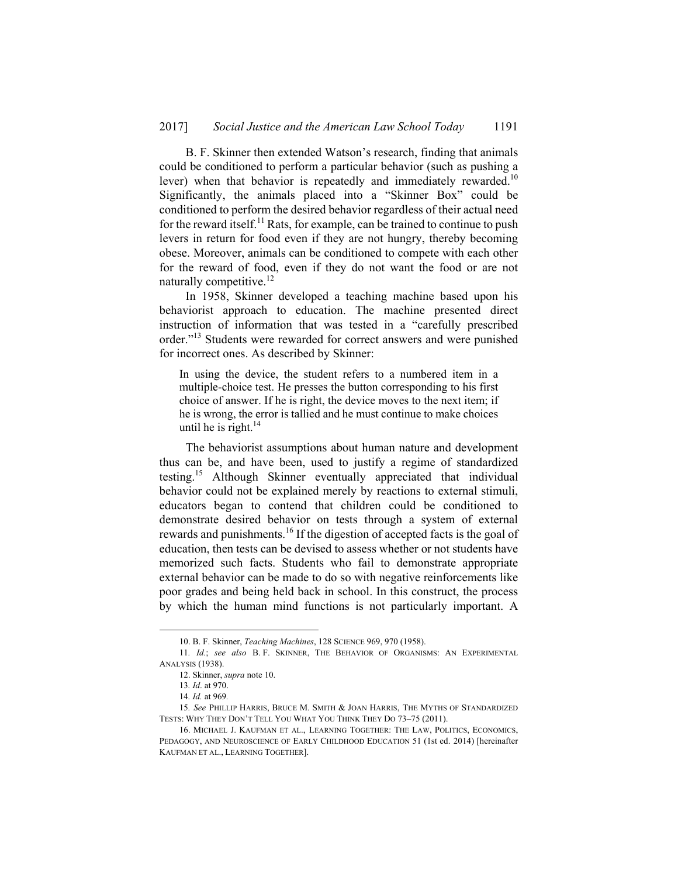B. F. Skinner then extended Watson's research, finding that animals could be conditioned to perform a particular behavior (such as pushing a lever) when that behavior is repeatedly and immediately rewarded.<sup>10</sup> Significantly, the animals placed into a "Skinner Box" could be conditioned to perform the desired behavior regardless of their actual need for the reward itself.<sup>11</sup> Rats, for example, can be trained to continue to push levers in return for food even if they are not hungry, thereby becoming obese. Moreover, animals can be conditioned to compete with each other for the reward of food, even if they do not want the food or are not naturally competitive.<sup>12</sup>

In 1958, Skinner developed a teaching machine based upon his behaviorist approach to education. The machine presented direct instruction of information that was tested in a "carefully prescribed order."13 Students were rewarded for correct answers and were punished for incorrect ones. As described by Skinner:

In using the device, the student refers to a numbered item in a multiple-choice test. He presses the button corresponding to his first choice of answer. If he is right, the device moves to the next item; if he is wrong, the error is tallied and he must continue to make choices until he is right. $14$ 

The behaviorist assumptions about human nature and development thus can be, and have been, used to justify a regime of standardized testing.15 Although Skinner eventually appreciated that individual behavior could not be explained merely by reactions to external stimuli, educators began to contend that children could be conditioned to demonstrate desired behavior on tests through a system of external rewards and punishments.<sup>16</sup> If the digestion of accepted facts is the goal of education, then tests can be devised to assess whether or not students have memorized such facts. Students who fail to demonstrate appropriate external behavior can be made to do so with negative reinforcements like poor grades and being held back in school. In this construct, the process by which the human mind functions is not particularly important. A

 <sup>10.</sup> B. F. Skinner, *Teaching Machines*, 128 SCIENCE 969, 970 (1958).

<sup>11</sup>*. Id.*; *see also* B. F. SKINNER, THE BEHAVIOR OF ORGANISMS: AN EXPERIMENTAL ANALYSIS (1938).

 <sup>12.</sup> Skinner, *supra* note 10.

<sup>13</sup>*. Id*. at 970.

<sup>14</sup>*. Id.* at 969*.*

<sup>15</sup>*. See* PHILLIP HARRIS, BRUCE M. SMITH & JOAN HARRIS, THE MYTHS OF STANDARDIZED TESTS: WHY THEY DON'T TELL YOU WHAT YOU THINK THEY DO 73–75 (2011).

 <sup>16.</sup> MICHAEL J. KAUFMAN ET AL., LEARNING TOGETHER: THE LAW, POLITICS, ECONOMICS, PEDAGOGY, AND NEUROSCIENCE OF EARLY CHILDHOOD EDUCATION 51 (1st ed. 2014) [hereinafter KAUFMAN ET AL., LEARNING TOGETHER].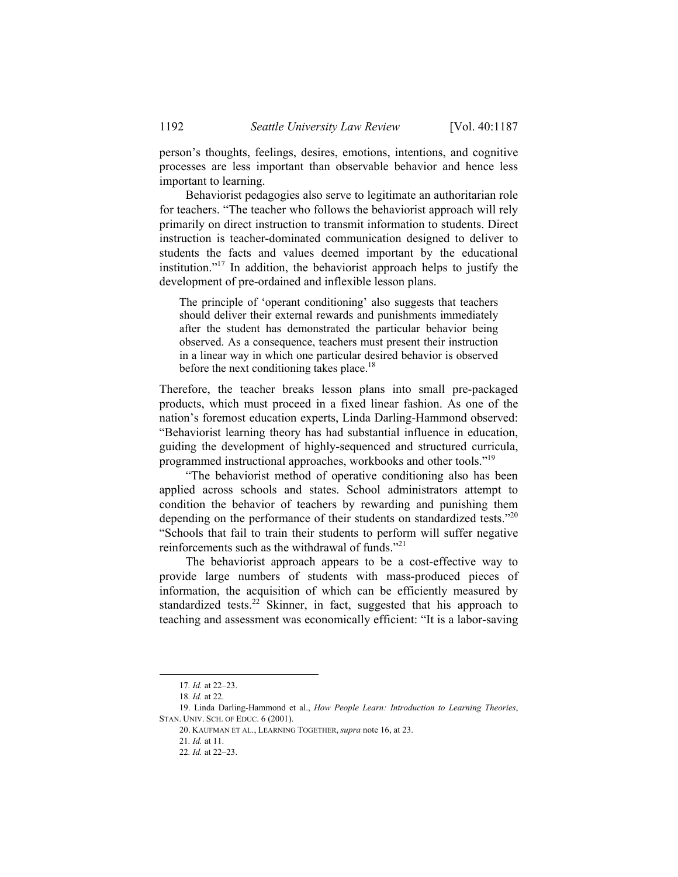person's thoughts, feelings, desires, emotions, intentions, and cognitive processes are less important than observable behavior and hence less important to learning.

Behaviorist pedagogies also serve to legitimate an authoritarian role for teachers. "The teacher who follows the behaviorist approach will rely primarily on direct instruction to transmit information to students. Direct instruction is teacher-dominated communication designed to deliver to students the facts and values deemed important by the educational institution."<sup>17</sup> In addition, the behaviorist approach helps to justify the development of pre-ordained and inflexible lesson plans.

The principle of 'operant conditioning' also suggests that teachers should deliver their external rewards and punishments immediately after the student has demonstrated the particular behavior being observed. As a consequence, teachers must present their instruction in a linear way in which one particular desired behavior is observed before the next conditioning takes place.<sup>18</sup>

Therefore, the teacher breaks lesson plans into small pre-packaged products, which must proceed in a fixed linear fashion. As one of the nation's foremost education experts, Linda Darling-Hammond observed: "Behaviorist learning theory has had substantial influence in education, guiding the development of highly-sequenced and structured curricula, programmed instructional approaches, workbooks and other tools."19

"The behaviorist method of operative conditioning also has been applied across schools and states. School administrators attempt to condition the behavior of teachers by rewarding and punishing them depending on the performance of their students on standardized tests."<sup>20</sup> "Schools that fail to train their students to perform will suffer negative reinforcements such as the withdrawal of funds."21

The behaviorist approach appears to be a cost-effective way to provide large numbers of students with mass-produced pieces of information, the acquisition of which can be efficiently measured by standardized tests.<sup>22</sup> Skinner, in fact, suggested that his approach to teaching and assessment was economically efficient: "It is a labor-saving

 <sup>17</sup>*. Id.* at 22–23.

<sup>18</sup>*. Id.* at 22.

 <sup>19.</sup> Linda Darling-Hammond et al., *How People Learn: Introduction to Learning Theories*, STAN. UNIV. SCH. OF EDUC. 6 (2001).

 <sup>20.</sup> KAUFMAN ET AL., LEARNING TOGETHER, *supra* note 16, at 23.

<sup>21</sup>*. Id.* at 11.

<sup>22</sup>*. Id.* at 22–23.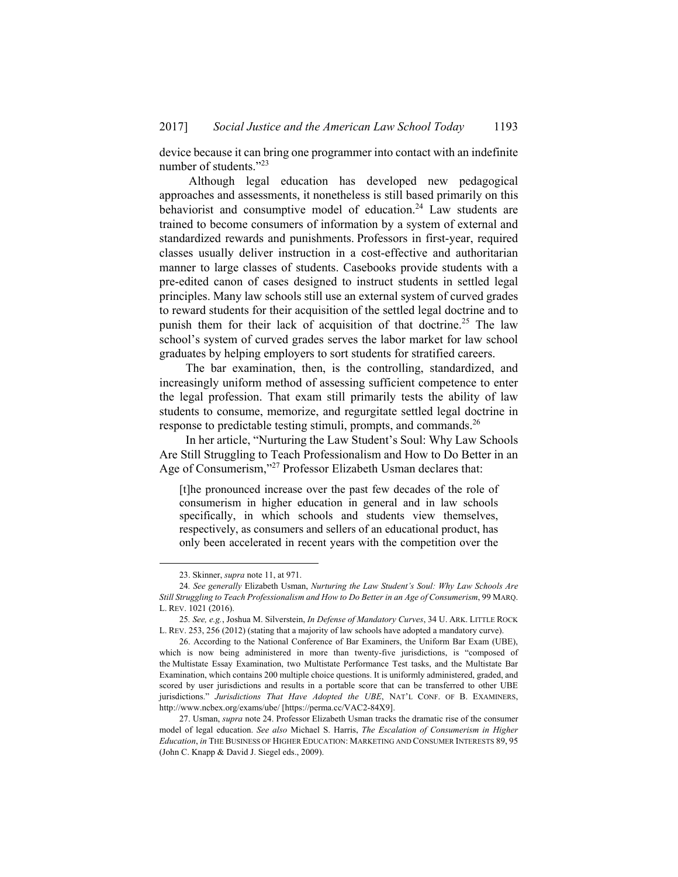device because it can bring one programmer into contact with an indefinite number of students."<sup>23</sup>

 Although legal education has developed new pedagogical approaches and assessments, it nonetheless is still based primarily on this behaviorist and consumptive model of education.<sup>24</sup> Law students are trained to become consumers of information by a system of external and standardized rewards and punishments. Professors in first-year, required classes usually deliver instruction in a cost-effective and authoritarian manner to large classes of students. Casebooks provide students with a pre-edited canon of cases designed to instruct students in settled legal principles. Many law schools still use an external system of curved grades to reward students for their acquisition of the settled legal doctrine and to punish them for their lack of acquisition of that doctrine.<sup>25</sup> The law school's system of curved grades serves the labor market for law school graduates by helping employers to sort students for stratified careers.

The bar examination, then, is the controlling, standardized, and increasingly uniform method of assessing sufficient competence to enter the legal profession. That exam still primarily tests the ability of law students to consume, memorize, and regurgitate settled legal doctrine in response to predictable testing stimuli, prompts, and commands.<sup>26</sup>

In her article, "Nurturing the Law Student's Soul: Why Law Schools Are Still Struggling to Teach Professionalism and How to Do Better in an Age of Consumerism,"<sup>27</sup> Professor Elizabeth Usman declares that:

[t]he pronounced increase over the past few decades of the role of consumerism in higher education in general and in law schools specifically, in which schools and students view themselves, respectively, as consumers and sellers of an educational product, has only been accelerated in recent years with the competition over the

 <sup>23.</sup> Skinner, *supra* note 11, at 971.

<sup>24</sup>*. See generally* Elizabeth Usman, *Nurturing the Law Student's Soul: Why Law Schools Are Still Struggling to Teach Professionalism and How to Do Better in an Age of Consumerism*, 99 MARQ. L. REV. 1021 (2016).

<sup>25</sup>*. See, e.g.*, Joshua M. Silverstein, *In Defense of Mandatory Curves*, 34 U. ARK. LITTLE ROCK L. REV. 253, 256 (2012) (stating that a majority of law schools have adopted a mandatory curve).

 <sup>26.</sup> According to the National Conference of Bar Examiners, the Uniform Bar Exam (UBE), which is now being administered in more than twenty-five jurisdictions, is "composed of the Multistate Essay Examination, two Multistate Performance Test tasks, and the Multistate Bar Examination, which contains 200 multiple choice questions. It is uniformly administered, graded, and scored by user jurisdictions and results in a portable score that can be transferred to other UBE jurisdictions." *Jurisdictions That Have Adopted the UBE*, NAT'L CONF. OF B. EXAMINERS, http://www.ncbex.org/exams/ube/ [https://perma.cc/VAC2-84X9].

 <sup>27.</sup> Usman, *supra* note 24. Professor Elizabeth Usman tracks the dramatic rise of the consumer model of legal education. *See also* Michael S. Harris, *The Escalation of Consumerism in Higher Education*, *in* THE BUSINESS OF HIGHER EDUCATION: MARKETING AND CONSUMER INTERESTS 89, 95 (John C. Knapp & David J. Siegel eds., 2009).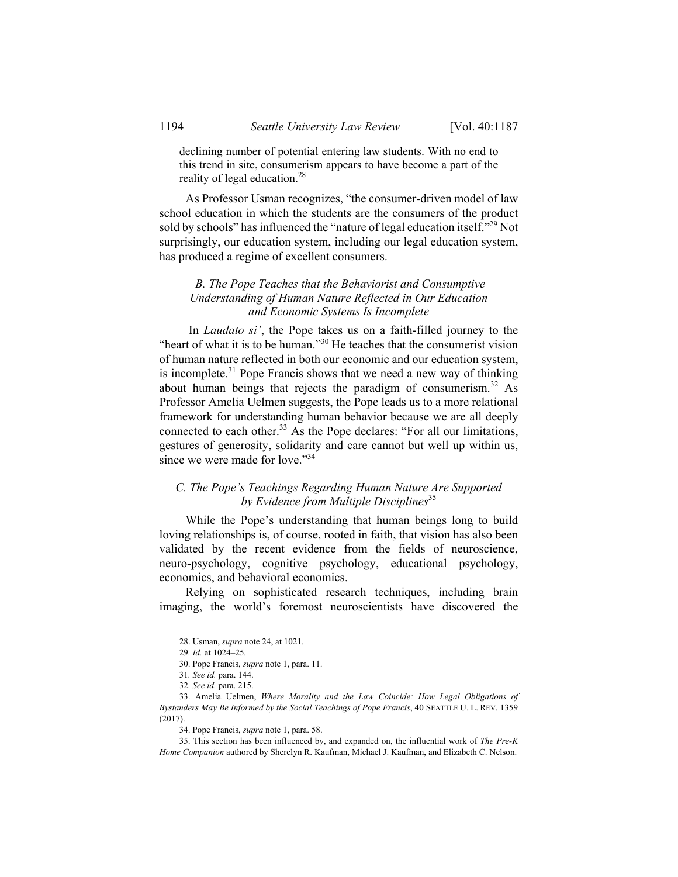declining number of potential entering law students. With no end to this trend in site, consumerism appears to have become a part of the reality of legal education.<sup>28</sup>

As Professor Usman recognizes, "the consumer-driven model of law school education in which the students are the consumers of the product sold by schools" has influenced the "nature of legal education itself."<sup>29</sup> Not surprisingly, our education system, including our legal education system, has produced a regime of excellent consumers.

### *B. The Pope Teaches that the Behaviorist and Consumptive Understanding of Human Nature Reflected in Our Education and Economic Systems Is Incomplete*

 In *Laudato si'*, the Pope takes us on a faith-filled journey to the "heart of what it is to be human."<sup>30</sup> He teaches that the consumerist vision of human nature reflected in both our economic and our education system, is incomplete.<sup>31</sup> Pope Francis shows that we need a new way of thinking about human beings that rejects the paradigm of consumerism.32 As Professor Amelia Uelmen suggests, the Pope leads us to a more relational framework for understanding human behavior because we are all deeply connected to each other. $33$  As the Pope declares: "For all our limitations, gestures of generosity, solidarity and care cannot but well up within us, since we were made for love."<sup>34</sup>

## *C. The Pope's Teachings Regarding Human Nature Are Supported by Evidence from Multiple Disciplines*<sup>35</sup>

While the Pope's understanding that human beings long to build loving relationships is, of course, rooted in faith, that vision has also been validated by the recent evidence from the fields of neuroscience, neuro-psychology, cognitive psychology, educational psychology, economics, and behavioral economics.

Relying on sophisticated research techniques, including brain imaging, the world's foremost neuroscientists have discovered the

 <sup>28.</sup> Usman, *supra* note 24, at 1021.

<sup>29</sup>*. Id.* at 1024–25*.*

 <sup>30.</sup> Pope Francis, *supra* note 1, para. 11.

<sup>31</sup>*. See id.* para. 144.

<sup>32</sup>*. See id.* para. 215.

 <sup>33.</sup> Amelia Uelmen, *Where Morality and the Law Coincide: How Legal Obligations of Bystanders May Be Informed by the Social Teachings of Pope Francis*, 40 SEATTLE U. L. REV. 1359 (2017).

 <sup>34.</sup> Pope Francis, *supra* note 1, para. 58.

 <sup>35.</sup> This section has been influenced by, and expanded on, the influential work of *The Pre-K Home Companion* authored by Sherelyn R. Kaufman, Michael J. Kaufman, and Elizabeth C. Nelson.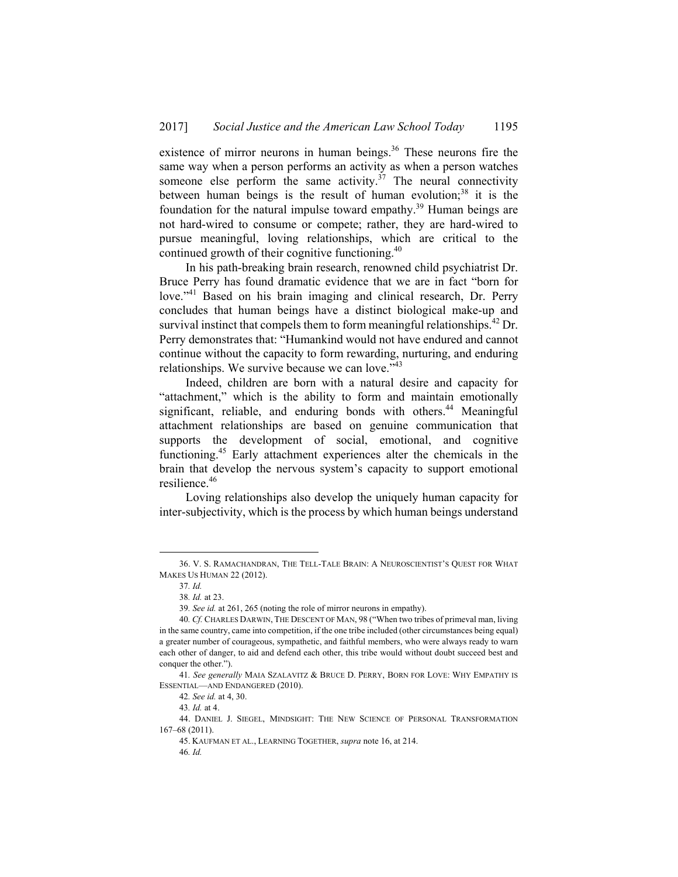existence of mirror neurons in human beings.<sup>36</sup> These neurons fire the same way when a person performs an activity as when a person watches someone else perform the same activity.<sup> $37$ </sup> The neural connectivity between human beings is the result of human evolution; $38$  it is the foundation for the natural impulse toward empathy.<sup>39</sup> Human beings are not hard-wired to consume or compete; rather, they are hard-wired to pursue meaningful, loving relationships, which are critical to the continued growth of their cognitive functioning.<sup>40</sup>

In his path-breaking brain research, renowned child psychiatrist Dr. Bruce Perry has found dramatic evidence that we are in fact "born for love.<sup>"41</sup> Based on his brain imaging and clinical research, Dr. Perry concludes that human beings have a distinct biological make-up and survival instinct that compels them to form meaningful relationships.<sup>42</sup> Dr. Perry demonstrates that: "Humankind would not have endured and cannot continue without the capacity to form rewarding, nurturing, and enduring relationships. We survive because we can love."<sup>43</sup>

Indeed, children are born with a natural desire and capacity for "attachment," which is the ability to form and maintain emotionally significant, reliable, and enduring bonds with others.<sup>44</sup> Meaningful attachment relationships are based on genuine communication that supports the development of social, emotional, and cognitive functioning.45 Early attachment experiences alter the chemicals in the brain that develop the nervous system's capacity to support emotional resilience.<sup>46</sup>

Loving relationships also develop the uniquely human capacity for inter-subjectivity, which is the process by which human beings understand

 <sup>36.</sup> V. S. RAMACHANDRAN, THE TELL-TALE BRAIN: A NEUROSCIENTIST'S QUEST FOR WHAT MAKES US HUMAN 22 (2012).

<sup>37</sup>*. Id.*

<sup>38</sup>*. Id.* at 23.

<sup>39</sup>*. See id.* at 261, 265 (noting the role of mirror neurons in empathy).

<sup>40</sup>*. Cf.* CHARLES DARWIN, THE DESCENT OF MAN, 98 ("When two tribes of primeval man, living in the same country, came into competition, if the one tribe included (other circumstances being equal) a greater number of courageous, sympathetic, and faithful members, who were always ready to warn each other of danger, to aid and defend each other, this tribe would without doubt succeed best and conquer the other.").

<sup>41</sup>*. See generally* MAIA SZALAVITZ & BRUCE D. PERRY, BORN FOR LOVE: WHY EMPATHY IS ESSENTIAL—AND ENDANGERED (2010).

<sup>42</sup>*. See id.* at 4, 30.

<sup>43</sup>*. Id.* at 4.

 <sup>44.</sup> DANIEL J. SIEGEL, MINDSIGHT: THE NEW SCIENCE OF PERSONAL TRANSFORMATION 167–68 (2011).

 <sup>45.</sup> KAUFMAN ET AL., LEARNING TOGETHER, *supra* note 16, at 214.

<sup>46</sup>*. Id.*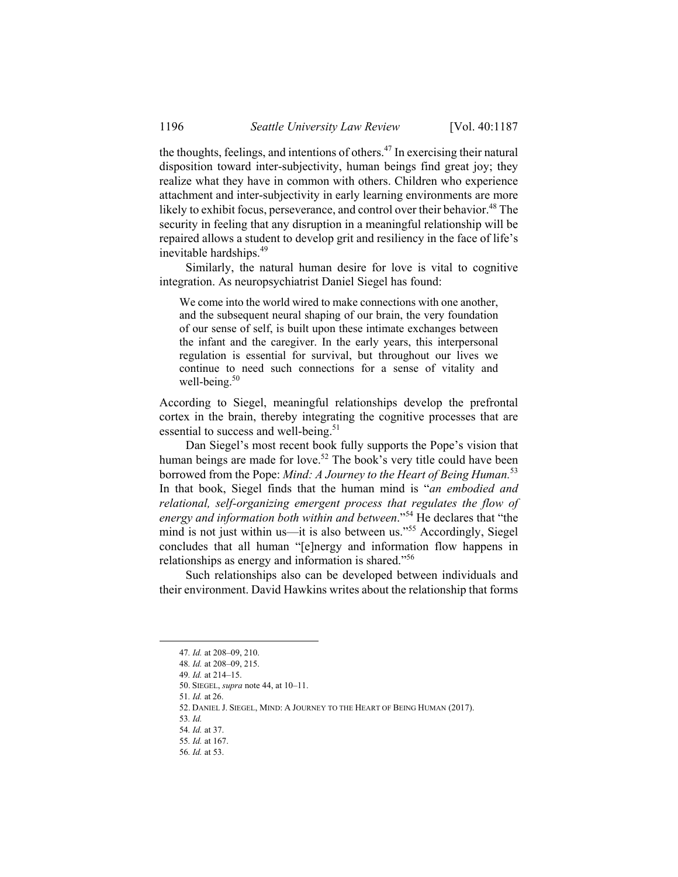the thoughts, feelings, and intentions of others.<sup>47</sup> In exercising their natural disposition toward inter-subjectivity, human beings find great joy; they realize what they have in common with others. Children who experience attachment and inter-subjectivity in early learning environments are more likely to exhibit focus, perseverance, and control over their behavior.<sup>48</sup> The security in feeling that any disruption in a meaningful relationship will be repaired allows a student to develop grit and resiliency in the face of life's inevitable hardships.49

Similarly, the natural human desire for love is vital to cognitive integration. As neuropsychiatrist Daniel Siegel has found:

We come into the world wired to make connections with one another, and the subsequent neural shaping of our brain, the very foundation of our sense of self, is built upon these intimate exchanges between the infant and the caregiver. In the early years, this interpersonal regulation is essential for survival, but throughout our lives we continue to need such connections for a sense of vitality and well-being. $50$ 

According to Siegel, meaningful relationships develop the prefrontal cortex in the brain, thereby integrating the cognitive processes that are essential to success and well-being.<sup>51</sup>

Dan Siegel's most recent book fully supports the Pope's vision that human beings are made for love.<sup>52</sup> The book's very title could have been borrowed from the Pope: *Mind: A Journey to the Heart of Being Human.*<sup>53</sup> In that book, Siegel finds that the human mind is "*an embodied and relational, self-organizing emergent process that regulates the flow of energy and information both within and between*."54 He declares that "the mind is not just within us—it is also between us."<sup>55</sup> Accordingly, Siegel concludes that all human "[e]nergy and information flow happens in relationships as energy and information is shared."<sup>56</sup>

Such relationships also can be developed between individuals and their environment. David Hawkins writes about the relationship that forms

50. SIEGEL, *supra* note 44, at 10–11.

51*. Id.* at 26.

 <sup>47</sup>*. Id.* at 208–09, 210.

<sup>48</sup>*. Id.* at 208–09, 215.

<sup>49</sup>*. Id.* at 214–15.

 <sup>52.</sup> DANIEL J. SIEGEL, MIND: A JOURNEY TO THE HEART OF BEING HUMAN (2017).

<sup>53</sup>*. Id.* 

<sup>54</sup>*. Id.* at 37.

<sup>55</sup>*. Id.* at 167.

<sup>56</sup>*. Id.* at 53.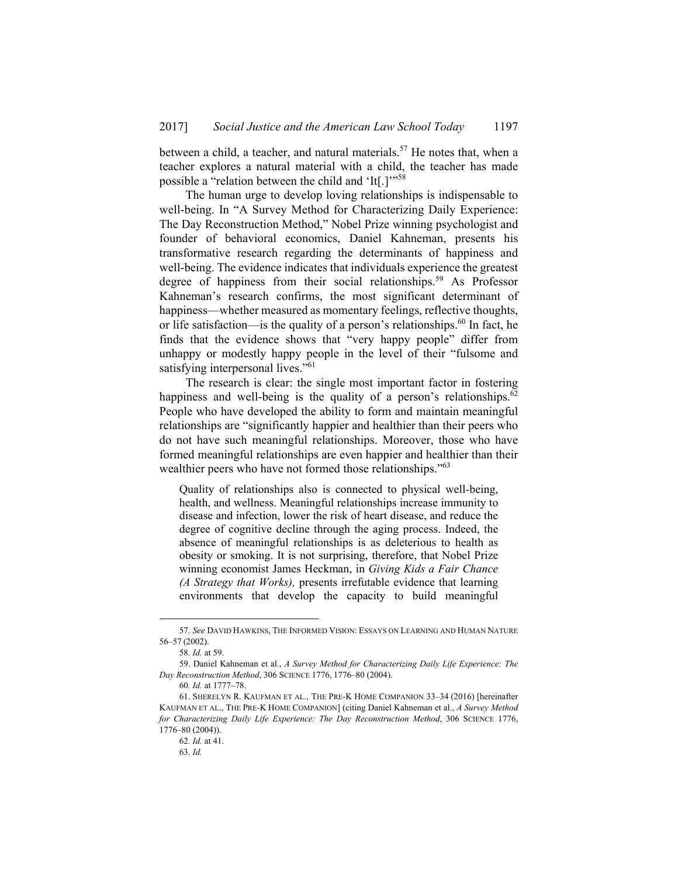between a child, a teacher, and natural materials.<sup>57</sup> He notes that, when a teacher explores a natural material with a child, the teacher has made possible a "relation between the child and 'It[.]'"<sup>58</sup>

The human urge to develop loving relationships is indispensable to well-being. In "A Survey Method for Characterizing Daily Experience: The Day Reconstruction Method," Nobel Prize winning psychologist and founder of behavioral economics, Daniel Kahneman, presents his transformative research regarding the determinants of happiness and well-being. The evidence indicates that individuals experience the greatest degree of happiness from their social relationships.<sup>59</sup> As Professor Kahneman's research confirms, the most significant determinant of happiness—whether measured as momentary feelings, reflective thoughts, or life satisfaction—is the quality of a person's relationships.<sup>60</sup> In fact, he finds that the evidence shows that "very happy people" differ from unhappy or modestly happy people in the level of their "fulsome and satisfying interpersonal lives."<sup>61</sup>

The research is clear: the single most important factor in fostering happiness and well-being is the quality of a person's relationships. $62$ People who have developed the ability to form and maintain meaningful relationships are "significantly happier and healthier than their peers who do not have such meaningful relationships. Moreover, those who have formed meaningful relationships are even happier and healthier than their wealthier peers who have not formed those relationships."<sup>63</sup>

Quality of relationships also is connected to physical well-being, health, and wellness. Meaningful relationships increase immunity to disease and infection, lower the risk of heart disease, and reduce the degree of cognitive decline through the aging process. Indeed, the absence of meaningful relationships is as deleterious to health as obesity or smoking. It is not surprising, therefore, that Nobel Prize winning economist James Heckman, in *Giving Kids a Fair Chance (A Strategy that Works),* presents irrefutable evidence that learning environments that develop the capacity to build meaningful

 <sup>57</sup>*. See* DAVID HAWKINS, THE INFORMED VISION: ESSAYS ON LEARNING AND HUMAN NATURE 56–57 (2002).

<sup>58</sup>*. Id.* at 59.

 <sup>59.</sup> Daniel Kahneman et al., *A Survey Method for Characterizing Daily Life Experience: The Day Reconstruction Method*, 306 SCIENCE 1776, 1776–80 (2004).

<sup>60</sup>*. Id.* at 1777–78.

 <sup>61.</sup> SHERELYN R. KAUFMAN ET AL., THE PRE-K HOME COMPANION 33–34 (2016) [hereinafter KAUFMAN ET AL., THE PRE-K HOME COMPANION] (citing Daniel Kahneman et al., *A Survey Method for Characterizing Daily Life Experience: The Day Reconstruction Method*, 306 SCIENCE 1776, 1776–80 (2004)).

<sup>62</sup>*. Id.* at 41.

<sup>63</sup>*. Id.*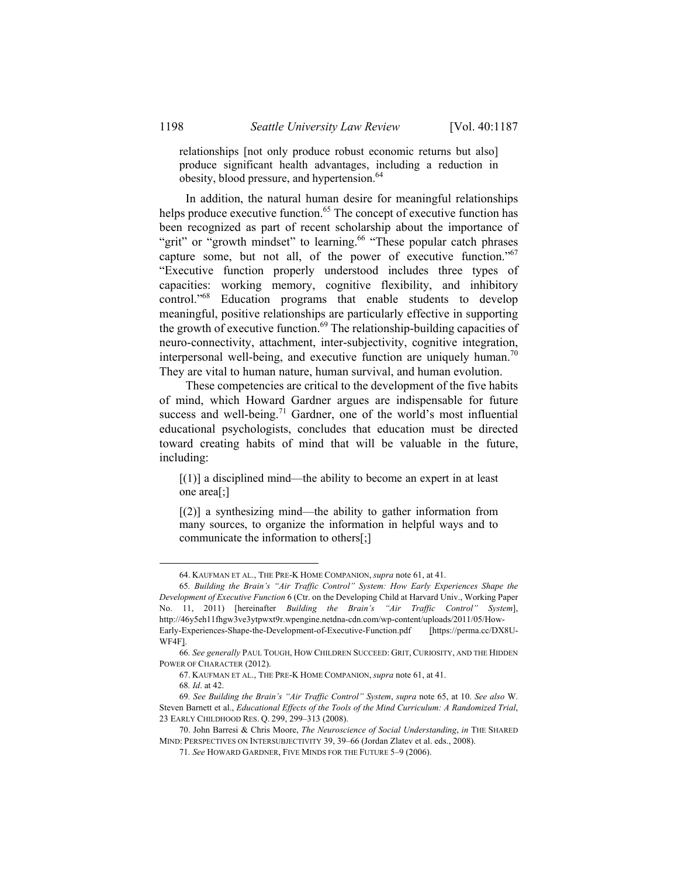relationships [not only produce robust economic returns but also] produce significant health advantages, including a reduction in obesity, blood pressure, and hypertension.<sup>64</sup>

In addition, the natural human desire for meaningful relationships helps produce executive function.<sup>65</sup> The concept of executive function has been recognized as part of recent scholarship about the importance of "grit" or "growth mindset" to learning.<sup>66</sup> "These popular catch phrases" capture some, but not all, of the power of executive function."67 "Executive function properly understood includes three types of capacities: working memory, cognitive flexibility, and inhibitory control."<sup>68</sup> Education programs that enable students to develop meaningful, positive relationships are particularly effective in supporting the growth of executive function.<sup>69</sup> The relationship-building capacities of neuro-connectivity, attachment, inter-subjectivity, cognitive integration, interpersonal well-being, and executive function are uniquely human.<sup>70</sup> They are vital to human nature, human survival, and human evolution.

These competencies are critical to the development of the five habits of mind, which Howard Gardner argues are indispensable for future success and well-being.<sup>71</sup> Gardner, one of the world's most influential educational psychologists, concludes that education must be directed toward creating habits of mind that will be valuable in the future, including:

 $[(1)]$  a disciplined mind—the ability to become an expert in at least one area[;]

 $[(2)]$  a synthesizing mind—the ability to gather information from many sources, to organize the information in helpful ways and to communicate the information to others[;]

 <sup>64.</sup> KAUFMAN ET AL., THE PRE-K HOME COMPANION, *supra* note 61, at 41.

<sup>65</sup>*. Building the Brain's "Air Traffic Control" System: How Early Experiences Shape the Development of Executive Function* 6 (Ctr. on the Developing Child at Harvard Univ., Working Paper No. 11, 2011) [hereinafter *Building the Brain's "Air Traffic Control" System*], http://46y5eh11fhgw3ve3ytpwxt9r.wpengine.netdna-cdn.com/wp-content/uploads/2011/05/How-Early-Experiences-Shape-the-Development-of-Executive-Function.pdf [https://perma.cc/DX8U-WF4F].

<sup>66</sup>*. See generally* PAUL TOUGH, HOW CHILDREN SUCCEED: GRIT, CURIOSITY, AND THE HIDDEN POWER OF CHARACTER (2012).

 <sup>67.</sup> KAUFMAN ET AL., THE PRE-K HOME COMPANION, *supra* note 61, at 41.

<sup>68</sup>*. Id*. at 42.

<sup>69</sup>*. See Building the Brain's "Air Traffic Control" System*, *supra* note 65, at 10. *See also* W. Steven Barnett et al., *Educational Effects of the Tools of the Mind Curriculum: A Randomized Trial*, 23 EARLY CHILDHOOD RES. Q. 299, 299–313 (2008).

 <sup>70.</sup> John Barresi & Chris Moore, *The Neuroscience of Social Understanding*, *in* THE SHARED MIND: PERSPECTIVES ON INTERSUBJECTIVITY 39, 39–66 (Jordan Zlatev et al. eds., 2008).

<sup>71</sup>*. See* HOWARD GARDNER, FIVE MINDS FOR THE FUTURE 5–9 (2006).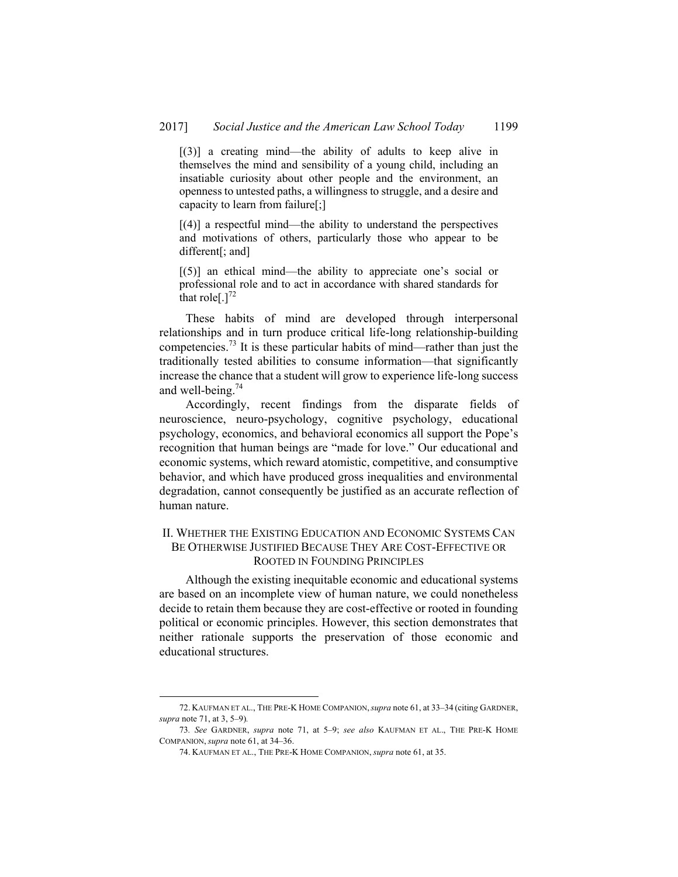$[(3)]$  a creating mind—the ability of adults to keep alive in themselves the mind and sensibility of a young child, including an insatiable curiosity about other people and the environment, an openness to untested paths, a willingness to struggle, and a desire and capacity to learn from failure[;]

 $[(4)]$  a respectful mind—the ability to understand the perspectives and motivations of others, particularly those who appear to be different[; and]

[(5)] an ethical mind—the ability to appreciate one's social or professional role and to act in accordance with shared standards for that role[ $.$ ]<sup>72</sup>

These habits of mind are developed through interpersonal relationships and in turn produce critical life-long relationship-building competencies.<sup>73</sup> It is these particular habits of mind—rather than just the traditionally tested abilities to consume information—that significantly increase the chance that a student will grow to experience life-long success and well-being. $74$ 

Accordingly, recent findings from the disparate fields of neuroscience, neuro-psychology, cognitive psychology, educational psychology, economics, and behavioral economics all support the Pope's recognition that human beings are "made for love." Our educational and economic systems, which reward atomistic, competitive, and consumptive behavior, and which have produced gross inequalities and environmental degradation, cannot consequently be justified as an accurate reflection of human nature.

### II. WHETHER THE EXISTING EDUCATION AND ECONOMIC SYSTEMS CAN BE OTHERWISE JUSTIFIED BECAUSE THEY ARE COST-EFFECTIVE OR ROOTED IN FOUNDING PRINCIPLES

Although the existing inequitable economic and educational systems are based on an incomplete view of human nature, we could nonetheless decide to retain them because they are cost-effective or rooted in founding political or economic principles. However, this section demonstrates that neither rationale supports the preservation of those economic and educational structures.

1

 <sup>72.</sup> KAUFMAN ET AL., THE PRE-K HOME COMPANION,*supra* note 61, at 33–34 (citin*g* GARDNER, *supra* note 71, at 3, 5–9)*.*

<sup>73</sup>*. See* GARDNER, *supra* note 71, at 5–9; *see also* KAUFMAN ET AL., THE PRE-K HOME COMPANION, *supra* note 61, at 34–36.

 <sup>74.</sup> KAUFMAN ET AL., THE PRE-K HOME COMPANION, *supra* note 61, at 35.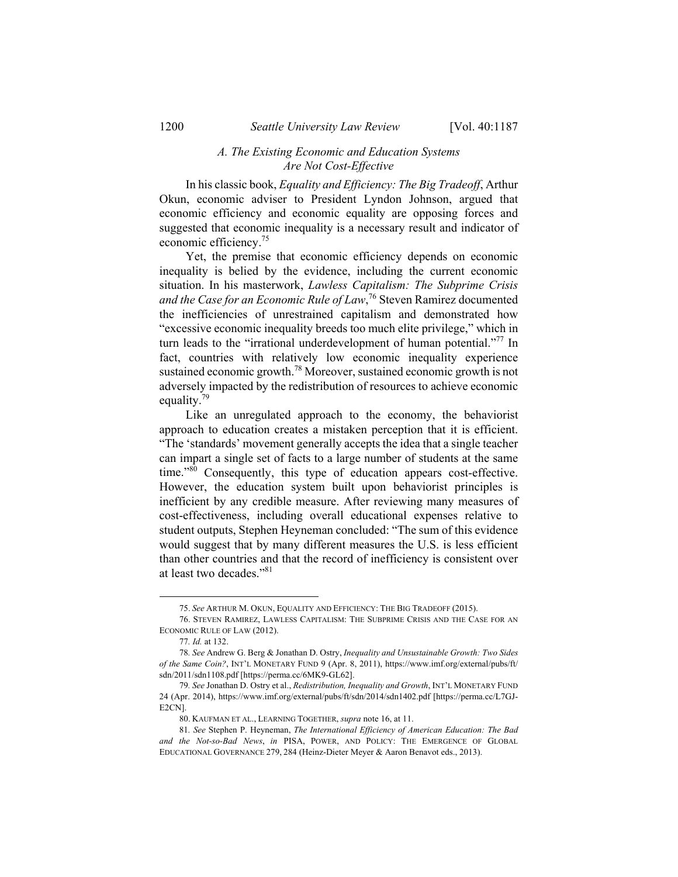#### *A. The Existing Economic and Education Systems Are Not Cost-Effective*

In his classic book, *Equality and Efficiency: The Big Tradeoff*, Arthur Okun, economic adviser to President Lyndon Johnson, argued that economic efficiency and economic equality are opposing forces and suggested that economic inequality is a necessary result and indicator of economic efficiency.75

Yet, the premise that economic efficiency depends on economic inequality is belied by the evidence, including the current economic situation. In his masterwork, *Lawless Capitalism: The Subprime Crisis and the Case for an Economic Rule of Law*, 76 Steven Ramirez documented the inefficiencies of unrestrained capitalism and demonstrated how "excessive economic inequality breeds too much elite privilege," which in turn leads to the "irrational underdevelopment of human potential."<sup>77</sup> In fact, countries with relatively low economic inequality experience sustained economic growth.78 Moreover, sustained economic growth is not adversely impacted by the redistribution of resources to achieve economic equality.<sup>79</sup>

Like an unregulated approach to the economy, the behaviorist approach to education creates a mistaken perception that it is efficient. "The 'standards' movement generally accepts the idea that a single teacher can impart a single set of facts to a large number of students at the same time."80 Consequently, this type of education appears cost-effective. However, the education system built upon behaviorist principles is inefficient by any credible measure. After reviewing many measures of cost-effectiveness, including overall educational expenses relative to student outputs, Stephen Heyneman concluded: "The sum of this evidence would suggest that by many different measures the U.S. is less efficient than other countries and that the record of inefficiency is consistent over at least two decades."81

 <sup>75.</sup> *See* ARTHUR M. OKUN, EQUALITY AND EFFICIENCY: THE BIG TRADEOFF (2015).

 <sup>76.</sup> STEVEN RAMIREZ, LAWLESS CAPITALISM: THE SUBPRIME CRISIS AND THE CASE FOR AN ECONOMIC RULE OF LAW (2012).

<sup>77</sup>*. Id.* at 132.

<sup>78</sup>*. See* Andrew G. Berg & Jonathan D. Ostry, *Inequality and Unsustainable Growth: Two Sides of the Same Coin?*, INT'L MONETARY FUND 9 (Apr. 8, 2011), https://www.imf.org/external/pubs/ft/ sdn/2011/sdn1108.pdf [https://perma.cc/6MK9-GL62].

<sup>79</sup>*. See* Jonathan D. Ostry et al., *Redistribution, Inequality and Growth*, INT'L MONETARY FUND 24 (Apr. 2014), https://www.imf.org/external/pubs/ft/sdn/2014/sdn1402.pdf [https://perma.cc/L7GJ-E2CN].

 <sup>80.</sup> KAUFMAN ET AL., LEARNING TOGETHER, *supra* note 16, at 11.

<sup>81</sup>*. See* Stephen P. Heyneman, *The International Efficiency of American Education: The Bad and the Not-so-Bad News*, *in* PISA, POWER, AND POLICY: THE EMERGENCE OF GLOBAL EDUCATIONAL GOVERNANCE 279, 284 (Heinz-Dieter Meyer & Aaron Benavot eds., 2013).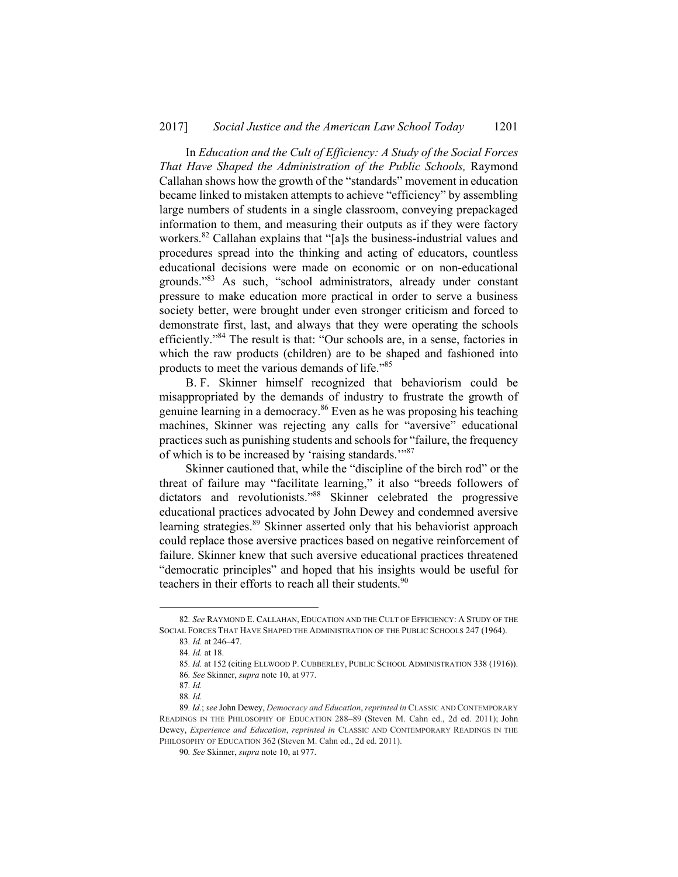In *Education and the Cult of Efficiency: A Study of the Social Forces That Have Shaped the Administration of the Public Schools,* Raymond Callahan shows how the growth of the "standards" movement in education became linked to mistaken attempts to achieve "efficiency" by assembling large numbers of students in a single classroom, conveying prepackaged information to them, and measuring their outputs as if they were factory workers.<sup>82</sup> Callahan explains that "[a]s the business-industrial values and procedures spread into the thinking and acting of educators, countless educational decisions were made on economic or on non-educational grounds."83 As such, "school administrators, already under constant pressure to make education more practical in order to serve a business society better, were brought under even stronger criticism and forced to demonstrate first, last, and always that they were operating the schools efficiently."84 The result is that: "Our schools are, in a sense, factories in which the raw products (children) are to be shaped and fashioned into products to meet the various demands of life."85

B. F. Skinner himself recognized that behaviorism could be misappropriated by the demands of industry to frustrate the growth of genuine learning in a democracy.86 Even as he was proposing his teaching machines, Skinner was rejecting any calls for "aversive" educational practices such as punishing students and schools for "failure, the frequency of which is to be increased by 'raising standards.'"87

Skinner cautioned that, while the "discipline of the birch rod" or the threat of failure may "facilitate learning," it also "breeds followers of dictators and revolutionists."<sup>88</sup> Skinner celebrated the progressive educational practices advocated by John Dewey and condemned aversive learning strategies.<sup>89</sup> Skinner asserted only that his behaviorist approach could replace those aversive practices based on negative reinforcement of failure. Skinner knew that such aversive educational practices threatened "democratic principles" and hoped that his insights would be useful for teachers in their efforts to reach all their students.<sup>90</sup>

 <sup>82</sup>*. See* RAYMOND E. CALLAHAN, EDUCATION AND THE CULT OF EFFICIENCY: <sup>A</sup> STUDY OF THE SOCIAL FORCES THAT HAVE SHAPED THE ADMINISTRATION OF THE PUBLIC SCHOOLS 247 (1964).

<sup>83</sup>*. Id.* at 246–47.

<sup>84</sup>*. Id.* at 18.

<sup>85</sup>*. Id.* at 152 (citing ELLWOOD P. CUBBERLEY, PUBLIC SCHOOL ADMINISTRATION 338 (1916)). 86*. See* Skinner, *supra* note 10, at 977.

<sup>87</sup>*. Id.*

<sup>88</sup>*. Id.*

<sup>89</sup>*. Id.*; *see* John Dewey, *Democracy and Education*, *reprinted in* CLASSIC AND CONTEMPORARY READINGS IN THE PHILOSOPHY OF EDUCATION 288–89 (Steven M. Cahn ed., 2d ed. 2011); John Dewey, *Experience and Education*, *reprinted in* CLASSIC AND CONTEMPORARY READINGS IN THE PHILOSOPHY OF EDUCATION 362 (Steven M. Cahn ed., 2d ed. 2011).

<sup>90</sup>*. See* Skinner, *supra* note 10, at 977.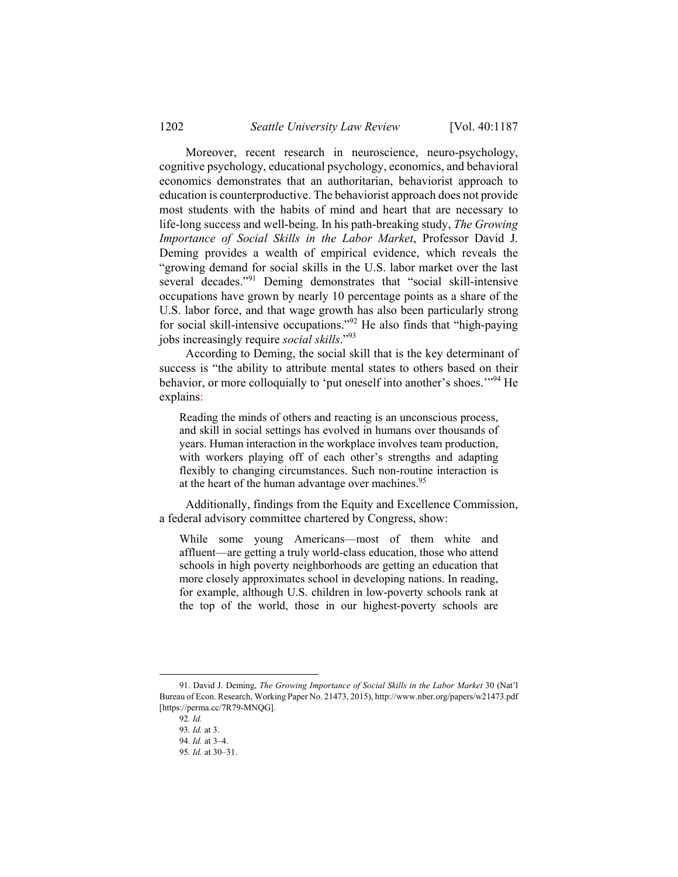Moreover, recent research in neuroscience, neuro-psychology, cognitive psychology, educational psychology, economics, and behavioral economics demonstrates that an authoritarian, behaviorist approach to education is counterproductive. The behaviorist approach does not provide most students with the habits of mind and heart that are necessary to life-long success and well-being. In his path-breaking study, *The Growing Importance of Social Skills in the Labor Market*, Professor David J. Deming provides a wealth of empirical evidence, which reveals the "growing demand for social skills in the U.S. labor market over the last several decades."<sup>91</sup> Deming demonstrates that "social skill-intensive occupations have grown by nearly 10 percentage points as a share of the U.S. labor force, and that wage growth has also been particularly strong for social skill-intensive occupations."92 He also finds that "high-paying jobs increasingly require *social skills*."<sup>93</sup>

According to Deming, the social skill that is the key determinant of success is "the ability to attribute mental states to others based on their behavior, or more colloquially to 'put oneself into another's shoes.'"94 He explains:

Reading the minds of others and reacting is an unconscious process, and skill in social settings has evolved in humans over thousands of years. Human interaction in the workplace involves team production, with workers playing off of each other's strengths and adapting flexibly to changing circumstances. Such non-routine interaction is at the heart of the human advantage over machines.<sup>95</sup>

Additionally, findings from the Equity and Excellence Commission, a federal advisory committee chartered by Congress, show:

While some young Americans—most of them white and affluent—are getting a truly world-class education, those who attend schools in high poverty neighborhoods are getting an education that more closely approximates school in developing nations. In reading, for example, although U.S. children in low-poverty schools rank at the top of the world, those in our highest-poverty schools are

 <sup>91.</sup> David J. Deming, *The Growing Importance of Social Skills in the Labor Market* 30 (Nat'l Bureau of Econ. Research, Working Paper No. 21473, 2015), http://www.nber.org/papers/w21473.pdf [https://perma.cc/7R79-MNQG].

<sup>92</sup>*. Id.*

<sup>93</sup>*. Id.* at 3.

<sup>94</sup>*. Id.* at 3–4.

<sup>95</sup>*. Id.* at 30–31.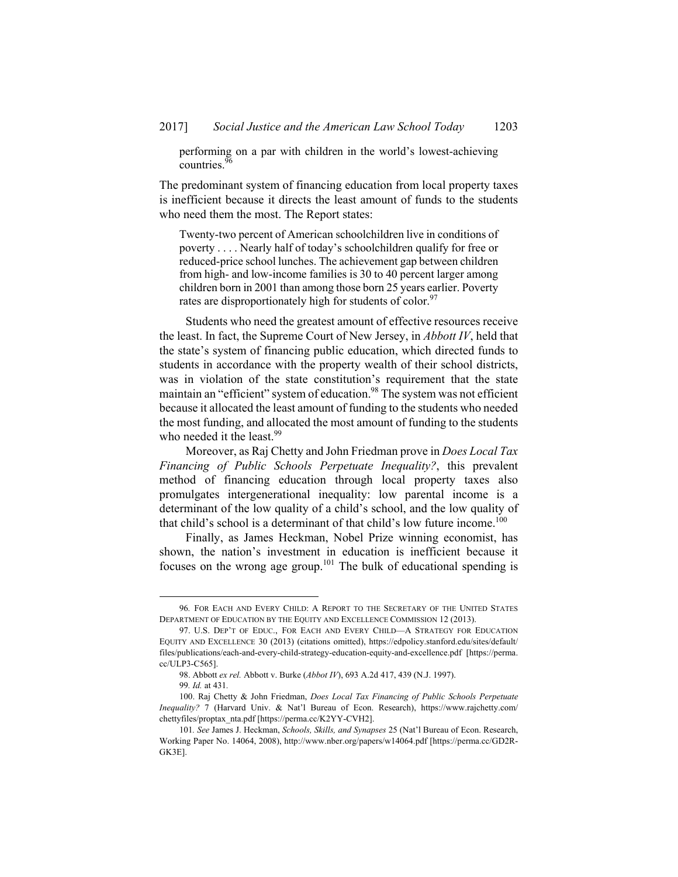performing on a par with children in the world's lowest-achieving countries.<sup>9</sup>

The predominant system of financing education from local property taxes is inefficient because it directs the least amount of funds to the students who need them the most. The Report states:

Twenty-two percent of American schoolchildren live in conditions of poverty . . . . Nearly half of today's schoolchildren qualify for free or reduced-price school lunches. The achievement gap between children from high- and low-income families is 30 to 40 percent larger among children born in 2001 than among those born 25 years earlier. Poverty rates are disproportionately high for students of color.<sup>97</sup>

Students who need the greatest amount of effective resources receive the least. In fact, the Supreme Court of New Jersey, in *Abbott IV*, held that the state's system of financing public education, which directed funds to students in accordance with the property wealth of their school districts, was in violation of the state constitution's requirement that the state maintain an "efficient" system of education.<sup>98</sup> The system was not efficient because it allocated the least amount of funding to the students who needed the most funding, and allocated the most amount of funding to the students who needed it the least. $99$ 

Moreover, as Raj Chetty and John Friedman prove in *Does Local Tax Financing of Public Schools Perpetuate Inequality?*, this prevalent method of financing education through local property taxes also promulgates intergenerational inequality: low parental income is a determinant of the low quality of a child's school, and the low quality of that child's school is a determinant of that child's low future income.<sup>100</sup>

Finally, as James Heckman, Nobel Prize winning economist, has shown, the nation's investment in education is inefficient because it focuses on the wrong age group.<sup>101</sup> The bulk of educational spending is

 <sup>96</sup>*.* FOR EACH AND EVERY CHILD: <sup>A</sup> REPORT TO THE SECRETARY OF THE UNITED STATES DEPARTMENT OF EDUCATION BY THE EQUITY AND EXCELLENCE COMMISSION 12 (2013).

 <sup>97.</sup> U.S. DEP'T OF EDUC., FOR EACH AND EVERY CHILD—A STRATEGY FOR EDUCATION EQUITY AND EXCELLENCE 30 (2013) (citations omitted), https://edpolicy.stanford.edu/sites/default/ files/publications/each-and-every-child-strategy-education-equity-and-excellence.pdf [https://perma. cc/ULP3-C565].

 <sup>98.</sup> Abbott *ex rel.* Abbott v. Burke (*Abbot IV*), 693 A.2d 417, 439 (N.J. 1997).

<sup>99</sup>*. Id.* at 431*.*

 <sup>100.</sup> Raj Chetty & John Friedman, *Does Local Tax Financing of Public Schools Perpetuate Inequality?* 7 (Harvard Univ. & Nat'l Bureau of Econ. Research), https://www.rajchetty.com/ chettyfiles/proptax\_nta.pdf [https://perma.cc/K2YY-CVH2].

<sup>101</sup>*. See* James J. Heckman, *Schools, Skills, and Synapses* 25 (Nat'l Bureau of Econ. Research, Working Paper No. 14064, 2008), http://www.nber.org/papers/w14064.pdf [https://perma.cc/GD2R-GK3E].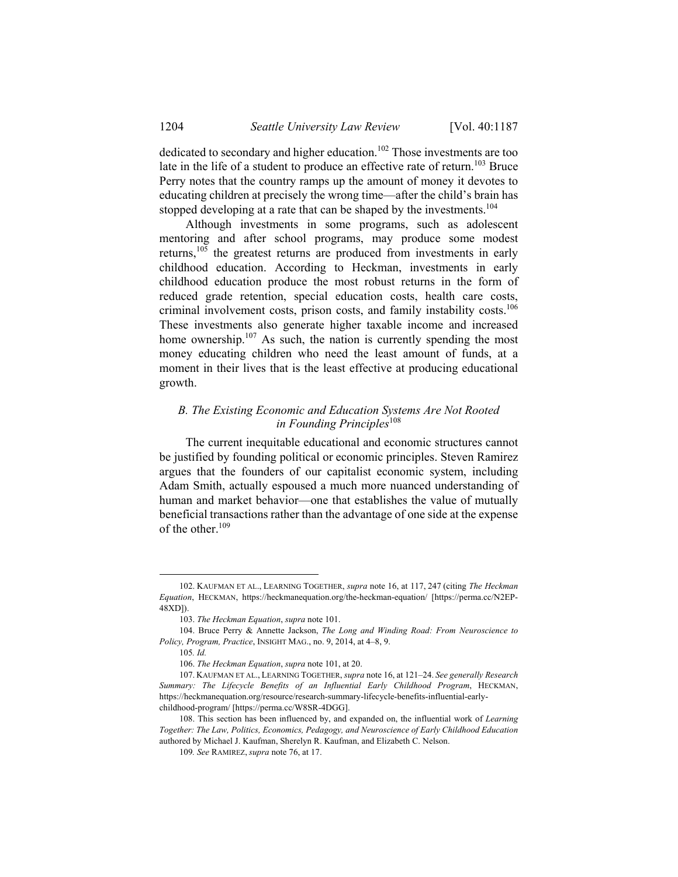dedicated to secondary and higher education.<sup>102</sup> Those investments are too late in the life of a student to produce an effective rate of return.<sup>103</sup> Bruce Perry notes that the country ramps up the amount of money it devotes to educating children at precisely the wrong time—after the child's brain has stopped developing at a rate that can be shaped by the investments.<sup>104</sup>

Although investments in some programs, such as adolescent mentoring and after school programs, may produce some modest returns,<sup>105</sup> the greatest returns are produced from investments in early childhood education. According to Heckman, investments in early childhood education produce the most robust returns in the form of reduced grade retention, special education costs, health care costs, criminal involvement costs, prison costs, and family instability costs.<sup>106</sup> These investments also generate higher taxable income and increased home ownership.<sup>107</sup> As such, the nation is currently spending the most money educating children who need the least amount of funds, at a moment in their lives that is the least effective at producing educational growth.

## *B. The Existing Economic and Education Systems Are Not Rooted in Founding Principles*<sup>108</sup>

The current inequitable educational and economic structures cannot be justified by founding political or economic principles. Steven Ramirez argues that the founders of our capitalist economic system, including Adam Smith, actually espoused a much more nuanced understanding of human and market behavior—one that establishes the value of mutually beneficial transactions rather than the advantage of one side at the expense of the other.<sup>109</sup>

1

 <sup>102.</sup> KAUFMAN ET AL., LEARNING TOGETHER, *supra* note 16, at 117, 247 (citing *The Heckman Equation*, HECKMAN, https://heckmanequation.org/the-heckman-equation/ [https://perma.cc/N2EP-48XD]).

 <sup>103.</sup> *The Heckman Equation*, *supra* note 101.

 <sup>104.</sup> Bruce Perry & Annette Jackson, *The Long and Winding Road: From Neuroscience to Policy, Program, Practice*, INSIGHT MAG., no. 9, 2014, at 4–8, 9.

<sup>105</sup>*. Id.*

 <sup>106.</sup> *The Heckman Equation*, *supra* note 101, at 20.

 <sup>107.</sup> KAUFMAN ET AL., LEARNING TOGETHER, *supra* note 16, at 121–24. *See generally Research Summary: The Lifecycle Benefits of an Influential Early Childhood Program*, HECKMAN, https://heckmanequation.org/resource/research-summary-lifecycle-benefits-influential-earlychildhood-program/ [https://perma.cc/W8SR-4DGG].

 <sup>108.</sup> This section has been influenced by, and expanded on, the influential work of *Learning Together: The Law, Politics, Economics, Pedagogy, and Neuroscience of Early Childhood Education* authored by Michael J. Kaufman, Sherelyn R. Kaufman, and Elizabeth C. Nelson.

<sup>109</sup>*. See* RAMIREZ, *supra* note 76, at 17.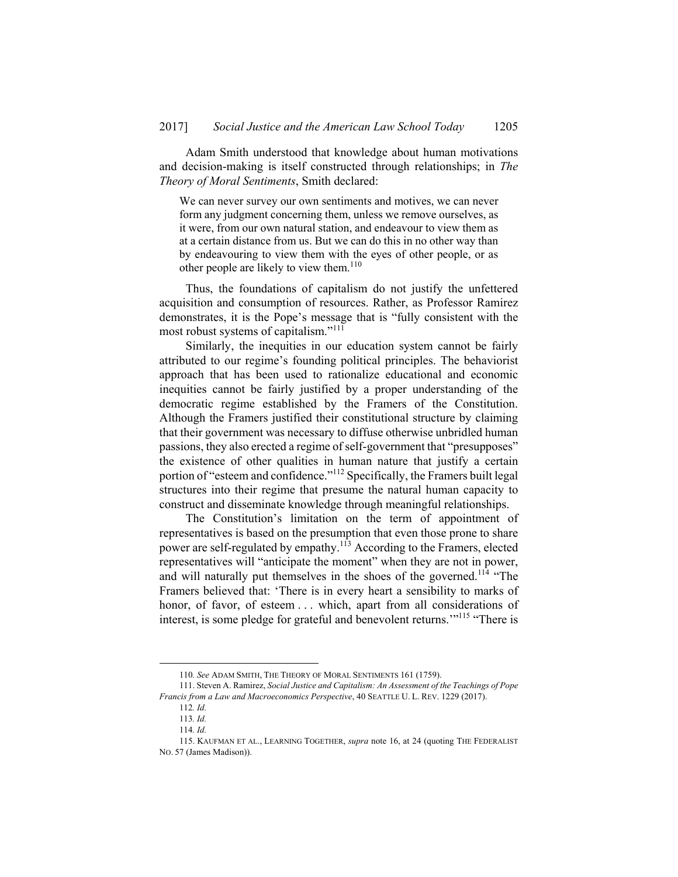Adam Smith understood that knowledge about human motivations and decision-making is itself constructed through relationships; in *The Theory of Moral Sentiments*, Smith declared:

We can never survey our own sentiments and motives, we can never form any judgment concerning them, unless we remove ourselves, as it were, from our own natural station, and endeavour to view them as at a certain distance from us. But we can do this in no other way than by endeavouring to view them with the eyes of other people, or as other people are likely to view them.<sup>110</sup>

Thus, the foundations of capitalism do not justify the unfettered acquisition and consumption of resources. Rather, as Professor Ramirez demonstrates, it is the Pope's message that is "fully consistent with the most robust systems of capitalism."<sup>111</sup>

Similarly, the inequities in our education system cannot be fairly attributed to our regime's founding political principles. The behaviorist approach that has been used to rationalize educational and economic inequities cannot be fairly justified by a proper understanding of the democratic regime established by the Framers of the Constitution. Although the Framers justified their constitutional structure by claiming that their government was necessary to diffuse otherwise unbridled human passions, they also erected a regime of self-government that "presupposes" the existence of other qualities in human nature that justify a certain portion of "esteem and confidence."<sup>112</sup> Specifically, the Framers built legal structures into their regime that presume the natural human capacity to construct and disseminate knowledge through meaningful relationships.

The Constitution's limitation on the term of appointment of representatives is based on the presumption that even those prone to share power are self-regulated by empathy.<sup>113</sup> According to the Framers, elected representatives will "anticipate the moment" when they are not in power, and will naturally put themselves in the shoes of the governed.<sup>114</sup> "The Framers believed that: 'There is in every heart a sensibility to marks of honor, of favor, of esteem . . . which, apart from all considerations of interest, is some pledge for grateful and benevolent returns."<sup>115</sup> "There is

 <sup>110</sup>*. See* ADAM SMITH, THE THEORY OF MORAL SENTIMENTS 161 (1759).

 <sup>111.</sup> Steven A. Ramirez, *Social Justice and Capitalism: An Assessment of the Teachings of Pope Francis from a Law and Macroeconomics Perspective*, 40 SEATTLE U. L. REV. 1229 (2017).

<sup>112</sup>*. Id.*

<sup>113</sup>*. Id.*

<sup>114</sup>*. Id.*

 <sup>115.</sup> KAUFMAN ET AL., LEARNING TOGETHER, *supra* note 16, at 24 (quoting THE FEDERALIST NO. 57 (James Madison)).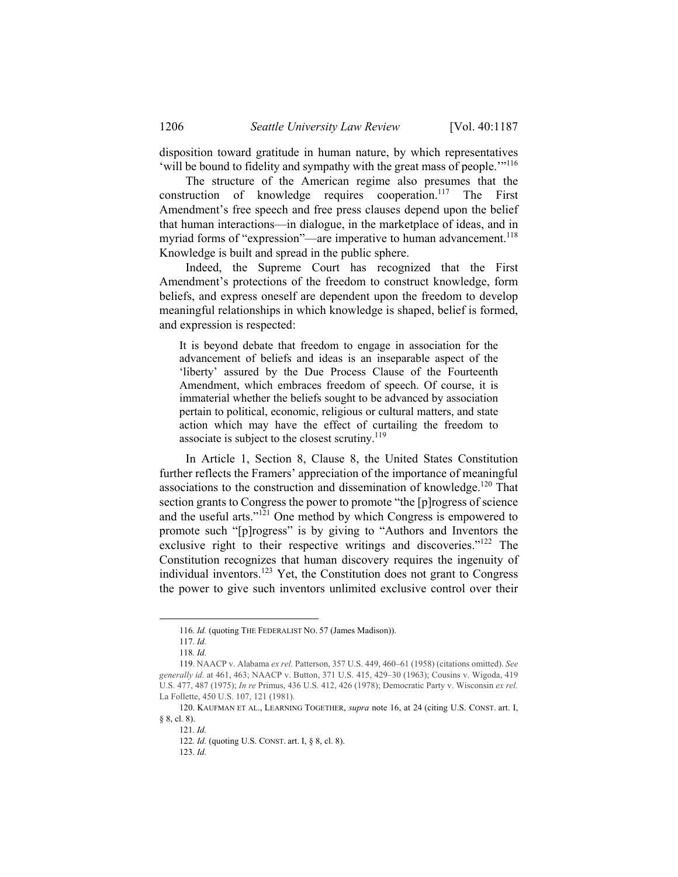disposition toward gratitude in human nature, by which representatives 'will be bound to fidelity and sympathy with the great mass of people.'"116

The structure of the American regime also presumes that the construction of knowledge requires cooperation.<sup>117</sup> The First Amendment's free speech and free press clauses depend upon the belief that human interactions—in dialogue, in the marketplace of ideas, and in myriad forms of "expression"—are imperative to human advancement.<sup>118</sup> Knowledge is built and spread in the public sphere.

Indeed, the Supreme Court has recognized that the First Amendment's protections of the freedom to construct knowledge, form beliefs, and express oneself are dependent upon the freedom to develop meaningful relationships in which knowledge is shaped, belief is formed, and expression is respected:

It is beyond debate that freedom to engage in association for the advancement of beliefs and ideas is an inseparable aspect of the 'liberty' assured by the Due Process Clause of the Fourteenth Amendment, which embraces freedom of speech. Of course, it is immaterial whether the beliefs sought to be advanced by association pertain to political, economic, religious or cultural matters, and state action which may have the effect of curtailing the freedom to associate is subject to the closest scrutiny.<sup>119</sup>

In Article 1, Section 8, Clause 8, the United States Constitution further reflects the Framers' appreciation of the importance of meaningful associations to the construction and dissemination of knowledge.<sup>120</sup> That section grants to Congress the power to promote "the [p]rogress of science and the useful arts."121 One method by which Congress is empowered to promote such "[p]rogress" is by giving to "Authors and Inventors the exclusive right to their respective writings and discoveries."<sup>122</sup> The Constitution recognizes that human discovery requires the ingenuity of individual inventors.123 Yet, the Constitution does not grant to Congress the power to give such inventors unlimited exclusive control over their

 <sup>116</sup>*. Id.* (quoting THE FEDERALIST NO. 57 (James Madison)).

<sup>117</sup>*. Id.*

<sup>118</sup>*. Id.*

<sup>119.</sup> NAACP v. Alabama *ex rel.* Patterson, 357 U.S. 449, 460–61 (1958) (citations omitted). *See generally id.* at 461, 463; NAACP v. Button, 371 U.S. 415, 429–30 (1963); Cousins v. Wigoda, 419 U.S. 477, 487 (1975); *In re* Primus, 436 U.S. 412, 426 (1978); Democratic Party v. Wisconsin *ex rel.* La Follette, 450 U.S. 107, 121 (1981).

 <sup>120.</sup> KAUFMAN ET AL., LEARNING TOGETHER, *supra* note 16, at 24 (citing U.S. CONST. art. I, § 8, cl. 8).

<sup>121</sup>*. Id.* 

<sup>122</sup>*. Id.* (quoting U.S. CONST. art. I, § 8, cl. 8).

<sup>123</sup>*. Id.*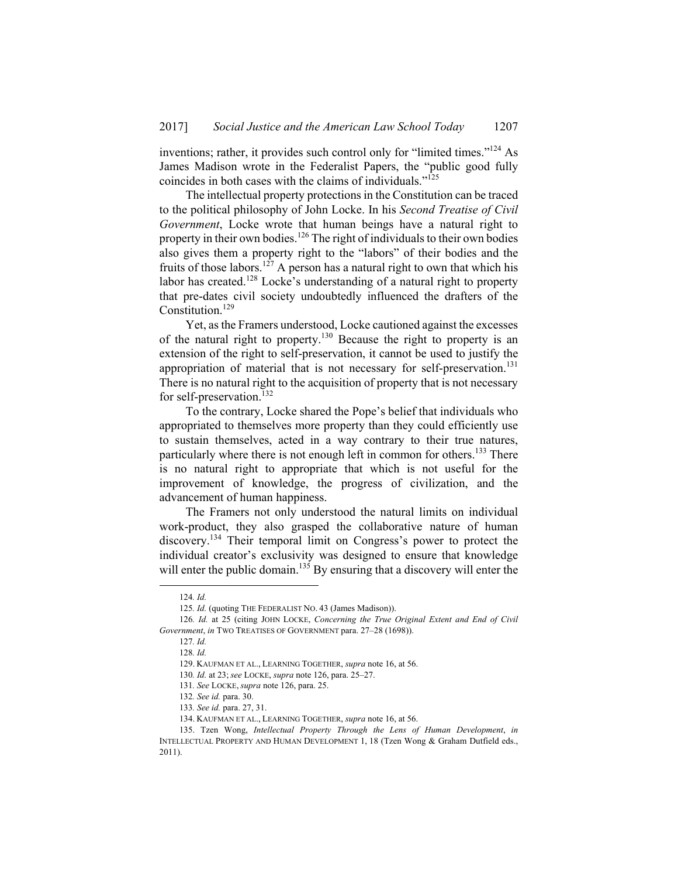inventions; rather, it provides such control only for "limited times."124 As James Madison wrote in the Federalist Papers, the "public good fully coincides in both cases with the claims of individuals."125

The intellectual property protections in the Constitution can be traced to the political philosophy of John Locke. In his *Second Treatise of Civil Government*, Locke wrote that human beings have a natural right to property in their own bodies.126 The right of individuals to their own bodies also gives them a property right to the "labors" of their bodies and the fruits of those labors.<sup>127</sup> A person has a natural right to own that which his labor has created.<sup>128</sup> Locke's understanding of a natural right to property that pre-dates civil society undoubtedly influenced the drafters of the Constitution.<sup>129</sup>

Yet, as the Framers understood, Locke cautioned against the excesses of the natural right to property.<sup>130</sup> Because the right to property is an extension of the right to self-preservation, it cannot be used to justify the appropriation of material that is not necessary for self-preservation.<sup>131</sup> There is no natural right to the acquisition of property that is not necessary for self-preservation.<sup>132</sup>

To the contrary, Locke shared the Pope's belief that individuals who appropriated to themselves more property than they could efficiently use to sustain themselves, acted in a way contrary to their true natures, particularly where there is not enough left in common for others.<sup>133</sup> There is no natural right to appropriate that which is not useful for the improvement of knowledge, the progress of civilization, and the advancement of human happiness.

The Framers not only understood the natural limits on individual work-product, they also grasped the collaborative nature of human discovery.134 Their temporal limit on Congress's power to protect the individual creator's exclusivity was designed to ensure that knowledge will enter the public domain.<sup>135</sup> By ensuring that a discovery will enter the

 <sup>124</sup>*. Id.*

<sup>125</sup>*. Id.* (quoting THE FEDERALIST NO. 43 (James Madison)).

<sup>126</sup>*. Id.* at 25 (citing JOHN LOCKE, *Concerning the True Original Extent and End of Civil Government*, *in* TWO TREATISES OF GOVERNMENT para. 27–28 (1698)).

<sup>127</sup>*. Id.*

<sup>128</sup>*. Id.* 

 <sup>129.</sup> KAUFMAN ET AL., LEARNING TOGETHER, *supra* note 16, at 56.

<sup>130</sup>*. Id.* at 23; *see* LOCKE, *supra* note 126, para. 25–27.

<sup>131</sup>*. See* LOCKE, *supra* note 126, para. 25.

<sup>132</sup>*. See id.* para. 30.

<sup>133</sup>*. See id.* para. 27, 31.

 <sup>134.</sup> KAUFMAN ET AL., LEARNING TOGETHER, *supra* note 16, at 56.

 <sup>135.</sup> Tzen Wong, *Intellectual Property Through the Lens of Human Development*, *in* INTELLECTUAL PROPERTY AND HUMAN DEVELOPMENT 1, 18 (Tzen Wong & Graham Dutfield eds., 2011).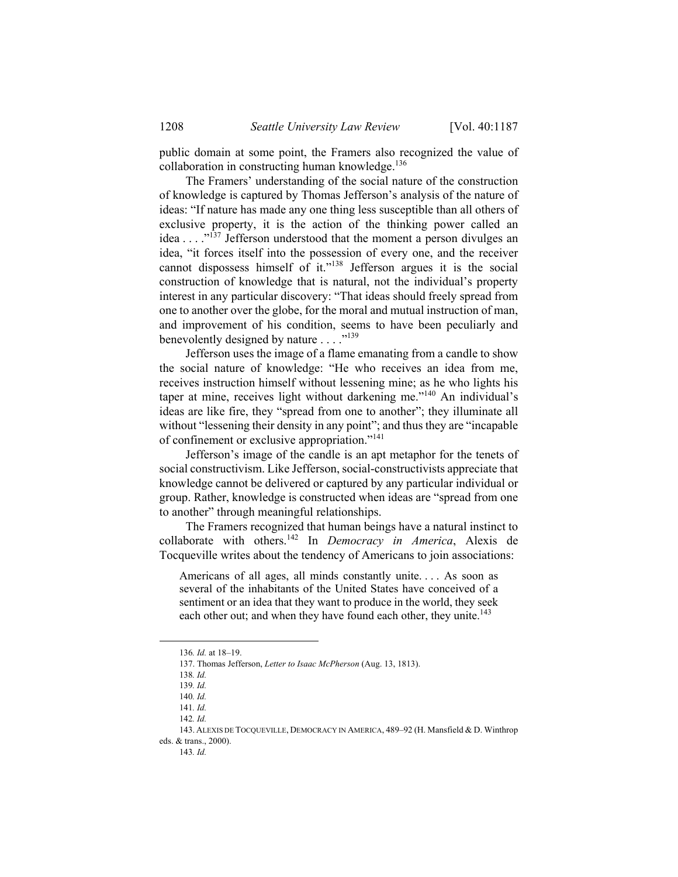public domain at some point, the Framers also recognized the value of collaboration in constructing human knowledge. $136$ 

The Framers' understanding of the social nature of the construction of knowledge is captured by Thomas Jefferson's analysis of the nature of ideas: "If nature has made any one thing less susceptible than all others of exclusive property, it is the action of the thinking power called an idea . . . ."137 Jefferson understood that the moment a person divulges an idea, "it forces itself into the possession of every one, and the receiver cannot dispossess himself of it."<sup>138</sup> Jefferson argues it is the social construction of knowledge that is natural, not the individual's property interest in any particular discovery: "That ideas should freely spread from one to another over the globe, for the moral and mutual instruction of man, and improvement of his condition, seems to have been peculiarly and benevolently designed by nature . . . . "<sup>139</sup>

Jefferson uses the image of a flame emanating from a candle to show the social nature of knowledge: "He who receives an idea from me, receives instruction himself without lessening mine; as he who lights his taper at mine, receives light without darkening me."140 An individual's ideas are like fire, they "spread from one to another"; they illuminate all without "lessening their density in any point"; and thus they are "incapable of confinement or exclusive appropriation."141

Jefferson's image of the candle is an apt metaphor for the tenets of social constructivism. Like Jefferson, social-constructivists appreciate that knowledge cannot be delivered or captured by any particular individual or group. Rather, knowledge is constructed when ideas are "spread from one to another" through meaningful relationships.

The Framers recognized that human beings have a natural instinct to collaborate with others.142 In *Democracy in America*, Alexis de Tocqueville writes about the tendency of Americans to join associations:

Americans of all ages, all minds constantly unite. . . . As soon as several of the inhabitants of the United States have conceived of a sentiment or an idea that they want to produce in the world, they seek each other out; and when they have found each other, they unite.<sup>143</sup>

 <sup>136</sup>*. Id.* at 18–19.

 <sup>137.</sup> Thomas Jefferson, *Letter to Isaac McPherson* (Aug. 13, 1813).

<sup>138</sup>*. Id.*

<sup>139</sup>*. Id.*

<sup>140</sup>*. Id.*

<sup>141</sup>*. Id.*

<sup>142</sup>*. Id.*

 <sup>143.</sup> ALEXIS DE TOCQUEVILLE, DEMOCRACY IN AMERICA, 489–92 (H. Mansfield & D. Winthrop eds. & trans., 2000).

<sup>143</sup>*. Id.*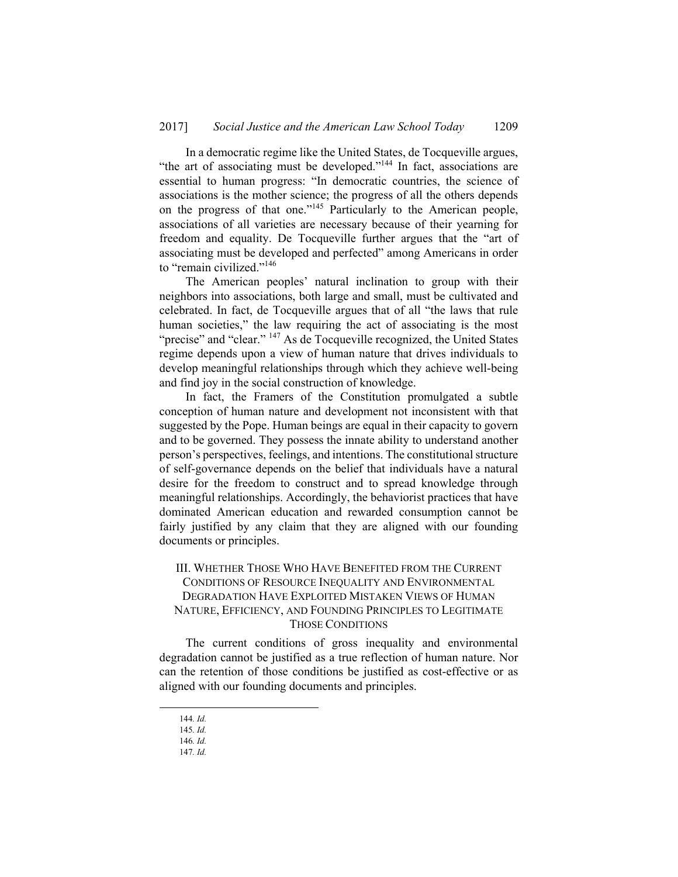In a democratic regime like the United States, de Tocqueville argues, "the art of associating must be developed."144 In fact, associations are essential to human progress: "In democratic countries, the science of associations is the mother science; the progress of all the others depends on the progress of that one."145 Particularly to the American people, associations of all varieties are necessary because of their yearning for freedom and equality. De Tocqueville further argues that the "art of associating must be developed and perfected" among Americans in order to "remain civilized."146

The American peoples' natural inclination to group with their neighbors into associations, both large and small, must be cultivated and celebrated. In fact, de Tocqueville argues that of all "the laws that rule human societies," the law requiring the act of associating is the most "precise" and "clear." <sup>147</sup> As de Tocqueville recognized, the United States regime depends upon a view of human nature that drives individuals to develop meaningful relationships through which they achieve well-being and find joy in the social construction of knowledge.

In fact, the Framers of the Constitution promulgated a subtle conception of human nature and development not inconsistent with that suggested by the Pope. Human beings are equal in their capacity to govern and to be governed. They possess the innate ability to understand another person's perspectives, feelings, and intentions. The constitutional structure of self-governance depends on the belief that individuals have a natural desire for the freedom to construct and to spread knowledge through meaningful relationships. Accordingly, the behaviorist practices that have dominated American education and rewarded consumption cannot be fairly justified by any claim that they are aligned with our founding documents or principles.

## III. WHETHER THOSE WHO HAVE BENEFITED FROM THE CURRENT CONDITIONS OF RESOURCE INEQUALITY AND ENVIRONMENTAL DEGRADATION HAVE EXPLOITED MISTAKEN VIEWS OF HUMAN NATURE, EFFICIENCY, AND FOUNDING PRINCIPLES TO LEGITIMATE THOSE CONDITIONS

The current conditions of gross inequality and environmental degradation cannot be justified as a true reflection of human nature. Nor can the retention of those conditions be justified as cost-effective or as aligned with our founding documents and principles.

 <sup>144</sup>*. Id.* 

<sup>145</sup>*. Id.* 

<sup>146</sup>*. Id.* 

<sup>147</sup>*. Id.*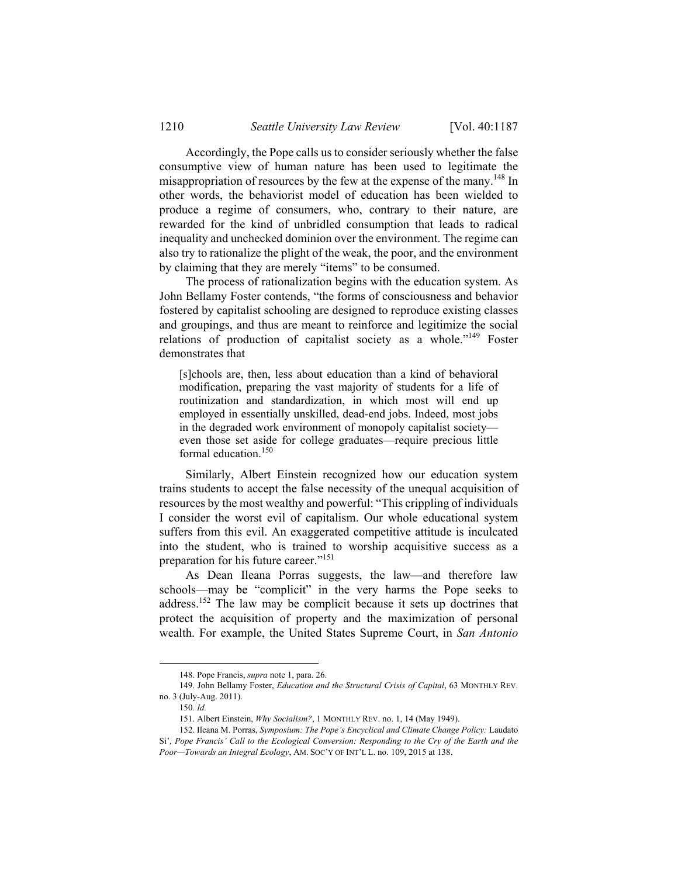Accordingly, the Pope calls us to consider seriously whether the false consumptive view of human nature has been used to legitimate the misappropriation of resources by the few at the expense of the many.<sup>148</sup> In other words, the behaviorist model of education has been wielded to produce a regime of consumers, who, contrary to their nature, are rewarded for the kind of unbridled consumption that leads to radical inequality and unchecked dominion over the environment. The regime can also try to rationalize the plight of the weak, the poor, and the environment by claiming that they are merely "items" to be consumed.

The process of rationalization begins with the education system. As John Bellamy Foster contends, "the forms of consciousness and behavior fostered by capitalist schooling are designed to reproduce existing classes and groupings, and thus are meant to reinforce and legitimize the social relations of production of capitalist society as a whole."149 Foster demonstrates that

[s]chools are, then, less about education than a kind of behavioral modification, preparing the vast majority of students for a life of routinization and standardization, in which most will end up employed in essentially unskilled, dead-end jobs. Indeed, most jobs in the degraded work environment of monopoly capitalist society even those set aside for college graduates—require precious little formal education.150

Similarly, Albert Einstein recognized how our education system trains students to accept the false necessity of the unequal acquisition of resources by the most wealthy and powerful: "This crippling of individuals I consider the worst evil of capitalism. Our whole educational system suffers from this evil. An exaggerated competitive attitude is inculcated into the student, who is trained to worship acquisitive success as a preparation for his future career."<sup>151</sup>

As Dean Ileana Porras suggests, the law—and therefore law schools—may be "complicit" in the very harms the Pope seeks to address.152 The law may be complicit because it sets up doctrines that protect the acquisition of property and the maximization of personal wealth. For example, the United States Supreme Court, in *San Antonio* 

 <sup>148.</sup> Pope Francis, *supra* note 1, para. 26.

 <sup>149.</sup> John Bellamy Foster, *Education and the Structural Crisis of Capital*, 63 MONTHLY REV. no. 3 (July-Aug. 2011).

<sup>150</sup>*. Id.*

 <sup>151.</sup> Albert Einstein, *Why Socialism?*, 1 MONTHLY REV. no. 1, 14 (May 1949).

 <sup>152.</sup> Ileana M. Porras, *Symposium: The Pope's Encyclical and Climate Change Policy:* Laudato Si'*, Pope Francis' Call to the Ecological Conversion: Responding to the Cry of the Earth and the Poor—Towards an Integral Ecology*, AM. SOC'Y OF INT'L L. no. 109, 2015 at 138.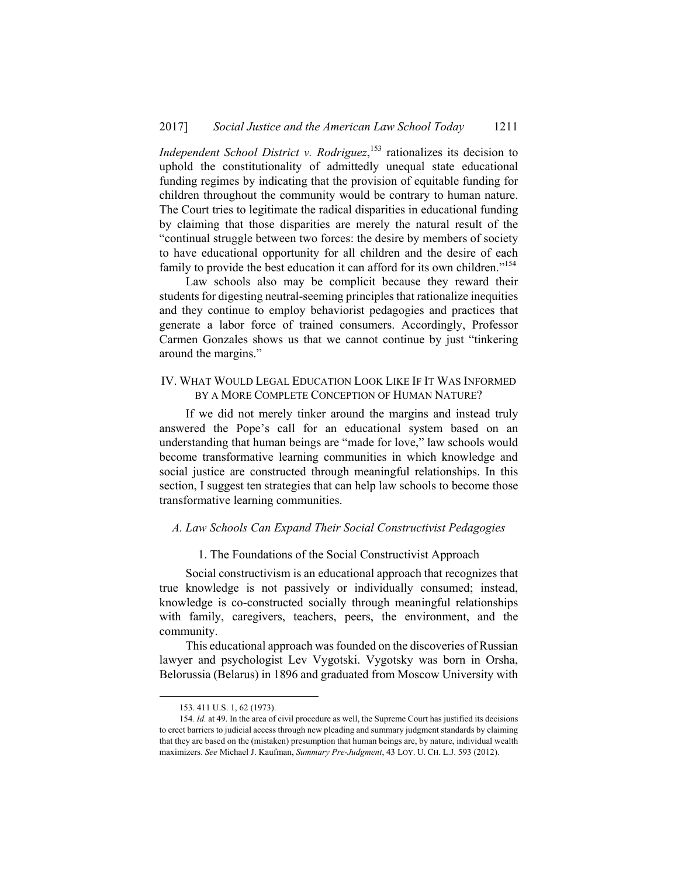*Independent School District v. Rodriguez*,<sup>153</sup> rationalizes its decision to uphold the constitutionality of admittedly unequal state educational funding regimes by indicating that the provision of equitable funding for children throughout the community would be contrary to human nature. The Court tries to legitimate the radical disparities in educational funding by claiming that those disparities are merely the natural result of the "continual struggle between two forces: the desire by members of society to have educational opportunity for all children and the desire of each family to provide the best education it can afford for its own children."<sup>154</sup>

Law schools also may be complicit because they reward their students for digesting neutral-seeming principles that rationalize inequities and they continue to employ behaviorist pedagogies and practices that generate a labor force of trained consumers. Accordingly, Professor Carmen Gonzales shows us that we cannot continue by just "tinkering around the margins."

#### IV. WHAT WOULD LEGAL EDUCATION LOOK LIKE IF IT WAS INFORMED BY A MORE COMPLETE CONCEPTION OF HUMAN NATURE?

If we did not merely tinker around the margins and instead truly answered the Pope's call for an educational system based on an understanding that human beings are "made for love," law schools would become transformative learning communities in which knowledge and social justice are constructed through meaningful relationships. In this section, I suggest ten strategies that can help law schools to become those transformative learning communities.

#### *A. Law Schools Can Expand Their Social Constructivist Pedagogies*

#### 1. The Foundations of the Social Constructivist Approach

Social constructivism is an educational approach that recognizes that true knowledge is not passively or individually consumed; instead, knowledge is co-constructed socially through meaningful relationships with family, caregivers, teachers, peers, the environment, and the community.

This educational approach was founded on the discoveries of Russian lawyer and psychologist Lev Vygotski. Vygotsky was born in Orsha, Belorussia (Belarus) in 1896 and graduated from Moscow University with

1

 <sup>153. 411</sup> U.S. 1, 62 (1973).

<sup>154</sup>*. Id.* at 49. In the area of civil procedure as well, the Supreme Court has justified its decisions to erect barriers to judicial access through new pleading and summary judgment standards by claiming that they are based on the (mistaken) presumption that human beings are, by nature, individual wealth maximizers. *See* Michael J. Kaufman, *Summary Pre-Judgment*, 43 LOY. U. CH. L.J. 593 (2012).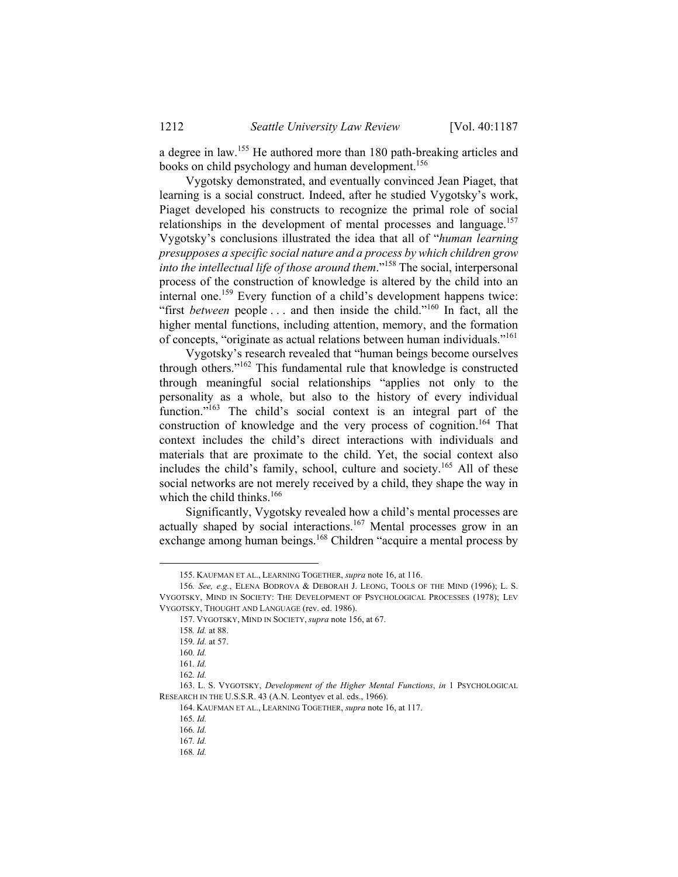a degree in law.155 He authored more than 180 path-breaking articles and books on child psychology and human development.<sup>156</sup>

Vygotsky demonstrated, and eventually convinced Jean Piaget, that learning is a social construct. Indeed, after he studied Vygotsky's work, Piaget developed his constructs to recognize the primal role of social relationships in the development of mental processes and language.<sup>157</sup> Vygotsky's conclusions illustrated the idea that all of "*human learning presupposes a specific social nature and a process by which children grow into the intellectual life of those around them*."158 The social, interpersonal process of the construction of knowledge is altered by the child into an internal one.159 Every function of a child's development happens twice: "first *between* people ... and then inside the child."<sup>160</sup> In fact, all the higher mental functions, including attention, memory, and the formation of concepts, "originate as actual relations between human individuals."161

Vygotsky's research revealed that "human beings become ourselves through others."162 This fundamental rule that knowledge is constructed through meaningful social relationships "applies not only to the personality as a whole, but also to the history of every individual function."<sup>163</sup> The child's social context is an integral part of the construction of knowledge and the very process of cognition.<sup>164</sup> That context includes the child's direct interactions with individuals and materials that are proximate to the child. Yet, the social context also includes the child's family, school, culture and society.<sup>165</sup> All of these social networks are not merely received by a child, they shape the way in which the child thinks. $166$ 

Significantly, Vygotsky revealed how a child's mental processes are actually shaped by social interactions.<sup>167</sup> Mental processes grow in an exchange among human beings.<sup>168</sup> Children "acquire a mental process by

 <sup>155.</sup> KAUFMAN ET AL., LEARNING TOGETHER, *supra* note 16, at 116.

<sup>156</sup>*. See, e.g.*, ELENA BODROVA & DEBORAH J. LEONG, TOOLS OF THE MIND (1996); L. S. VYGOTSKY, MIND IN SOCIETY: THE DEVELOPMENT OF PSYCHOLOGICAL PROCESSES (1978); LEV VYGOTSKY, THOUGHT AND LANGUAGE (rev. ed. 1986).

 <sup>157.</sup> VYGOTSKY, MIND IN SOCIETY, *supra* note 156, at 67.

<sup>158</sup>*. Id.* at 88.

<sup>159</sup>*. Id.* at 57.

<sup>160</sup>*. Id.*

<sup>161</sup>*. Id.*

<sup>162</sup>*. Id.*

 <sup>163.</sup> L. S. VYGOTSKY, *Development of the Higher Mental Functions*, *in* 1 PSYCHOLOGICAL RESEARCH IN THE U.S.S.R. 43 (A.N. Leontyev et al. eds., 1966).

 <sup>164.</sup> KAUFMAN ET AL., LEARNING TOGETHER, *supra* note 16, at 117.

<sup>165</sup>*. Id.*

<sup>166</sup>*. Id.*

<sup>167</sup>*. Id.*

<sup>168</sup>*. Id.*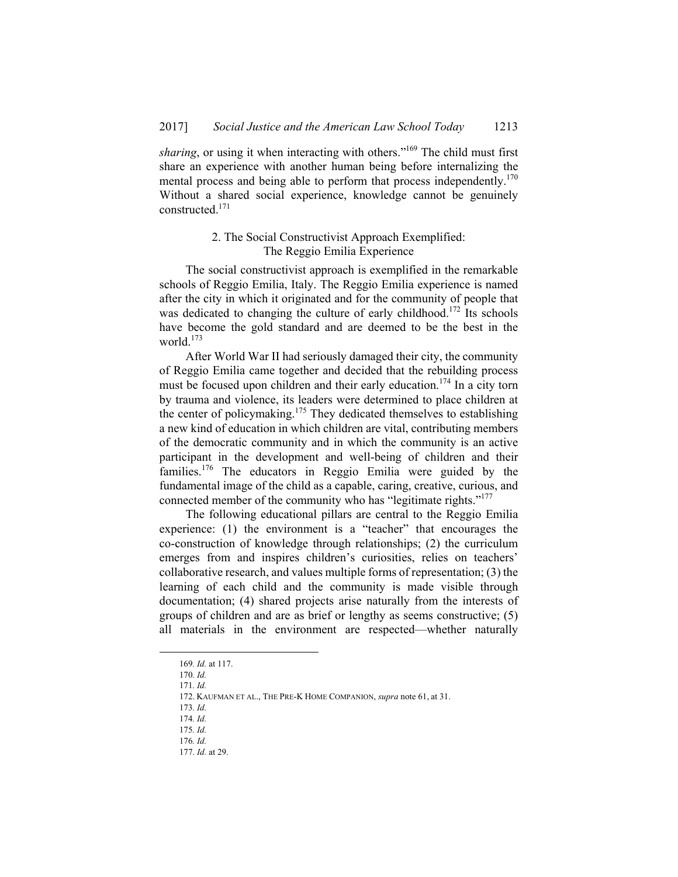*sharing*, or using it when interacting with others.<sup>"169</sup> The child must first share an experience with another human being before internalizing the mental process and being able to perform that process independently.<sup>170</sup> Without a shared social experience, knowledge cannot be genuinely constructed.171

## 2. The Social Constructivist Approach Exemplified: The Reggio Emilia Experience

The social constructivist approach is exemplified in the remarkable schools of Reggio Emilia, Italy. The Reggio Emilia experience is named after the city in which it originated and for the community of people that was dedicated to changing the culture of early childhood.<sup>172</sup> Its schools have become the gold standard and are deemed to be the best in the world.<sup>173</sup>

After World War II had seriously damaged their city, the community of Reggio Emilia came together and decided that the rebuilding process must be focused upon children and their early education.<sup>174</sup> In a city torn by trauma and violence, its leaders were determined to place children at the center of policymaking.<sup>175</sup> They dedicated themselves to establishing a new kind of education in which children are vital, contributing members of the democratic community and in which the community is an active participant in the development and well-being of children and their families.<sup>176</sup> The educators in Reggio Emilia were guided by the fundamental image of the child as a capable, caring, creative, curious, and connected member of the community who has "legitimate rights."<sup>177</sup>

The following educational pillars are central to the Reggio Emilia experience: (1) the environment is a "teacher" that encourages the co-construction of knowledge through relationships; (2) the curriculum emerges from and inspires children's curiosities, relies on teachers' collaborative research, and values multiple forms of representation; (3) the learning of each child and the community is made visible through documentation; (4) shared projects arise naturally from the interests of groups of children and are as brief or lengthy as seems constructive; (5) all materials in the environment are respected—whether naturally

 <sup>169</sup>*. Id.* at 117.

<sup>170</sup>*. Id.* 

<sup>171</sup>*. Id.*

 <sup>172.</sup> KAUFMAN ET AL., THE PRE-K HOME COMPANION, *supra* note 61, at 31.

<sup>173</sup>*. Id.* 

<sup>174</sup>*. Id.* 

<sup>175</sup>*. Id.*  176*. Id.*

<sup>177</sup>*. Id.* at 29.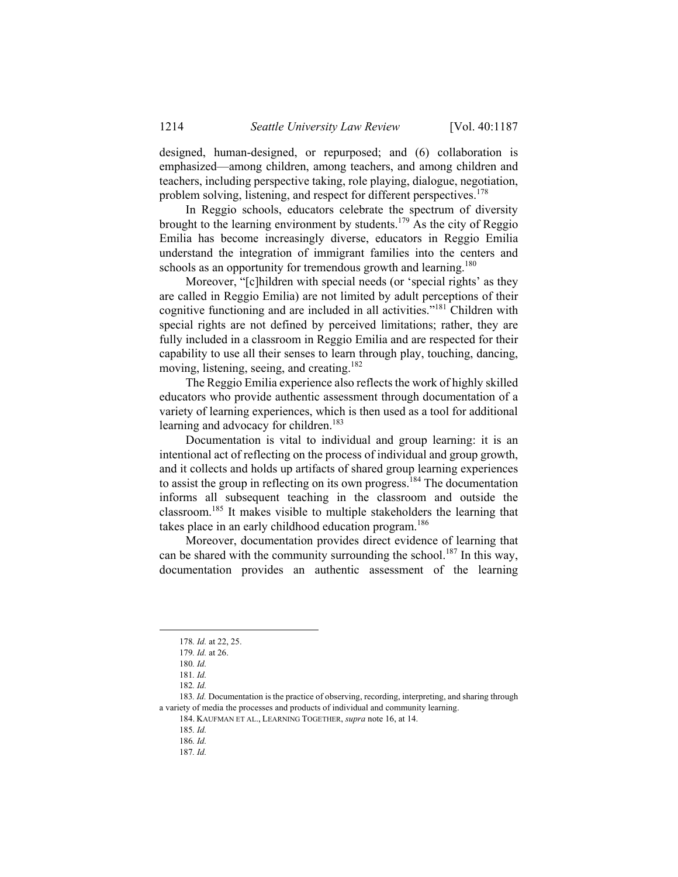designed, human-designed, or repurposed; and (6) collaboration is emphasized—among children, among teachers, and among children and teachers, including perspective taking, role playing, dialogue, negotiation, problem solving, listening, and respect for different perspectives.<sup>178</sup>

In Reggio schools, educators celebrate the spectrum of diversity brought to the learning environment by students.<sup>179</sup> As the city of Reggio Emilia has become increasingly diverse, educators in Reggio Emilia understand the integration of immigrant families into the centers and schools as an opportunity for tremendous growth and learning.<sup>180</sup>

Moreover, "[c]hildren with special needs (or 'special rights' as they are called in Reggio Emilia) are not limited by adult perceptions of their cognitive functioning and are included in all activities."181 Children with special rights are not defined by perceived limitations; rather, they are fully included in a classroom in Reggio Emilia and are respected for their capability to use all their senses to learn through play, touching, dancing, moving, listening, seeing, and creating.<sup>182</sup>

The Reggio Emilia experience also reflects the work of highly skilled educators who provide authentic assessment through documentation of a variety of learning experiences, which is then used as a tool for additional learning and advocacy for children.<sup>183</sup>

Documentation is vital to individual and group learning: it is an intentional act of reflecting on the process of individual and group growth, and it collects and holds up artifacts of shared group learning experiences to assist the group in reflecting on its own progress.<sup>184</sup> The documentation informs all subsequent teaching in the classroom and outside the classroom.185 It makes visible to multiple stakeholders the learning that takes place in an early childhood education program.<sup>186</sup>

Moreover, documentation provides direct evidence of learning that can be shared with the community surrounding the school.<sup>187</sup> In this way, documentation provides an authentic assessment of the learning

 <sup>178</sup>*. Id.* at 22, 25.

<sup>179</sup>*. Id.* at 26.

<sup>180</sup>*. Id.*

<sup>181</sup>*. Id.*

<sup>182</sup>*. Id.*

<sup>183</sup>*. Id.* Documentation is the practice of observing, recording, interpreting, and sharing through a variety of media the processes and products of individual and community learning.

 <sup>184.</sup> KAUFMAN ET AL., LEARNING TOGETHER, *supra* note 16, at 14.

<sup>185</sup>*. Id.*

<sup>186</sup>*. Id.* 

<sup>187</sup>*. Id.*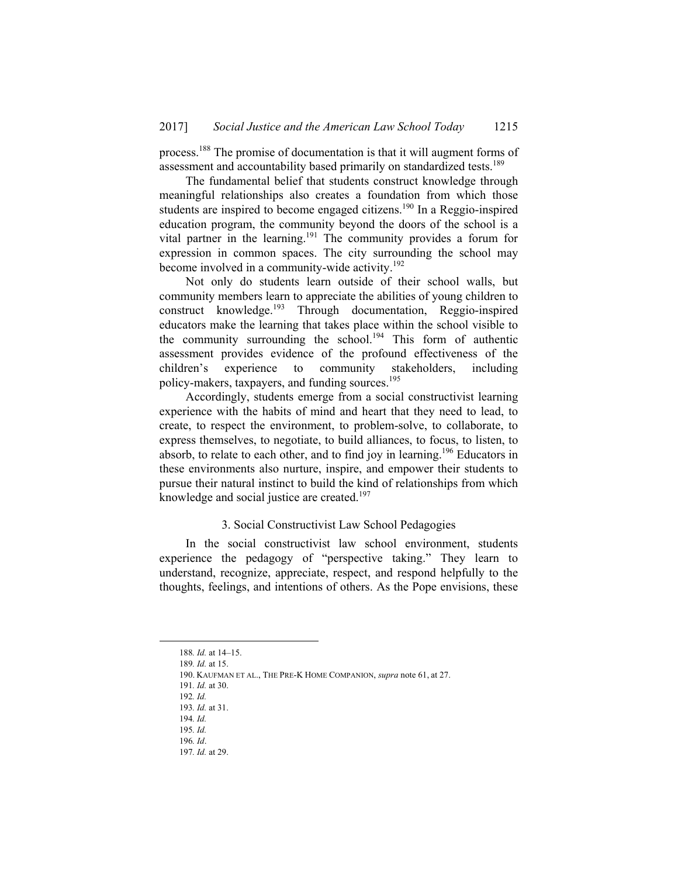process.188 The promise of documentation is that it will augment forms of assessment and accountability based primarily on standardized tests.<sup>189</sup>

The fundamental belief that students construct knowledge through meaningful relationships also creates a foundation from which those students are inspired to become engaged citizens.<sup>190</sup> In a Reggio-inspired education program, the community beyond the doors of the school is a vital partner in the learning.<sup>191</sup> The community provides a forum for expression in common spaces. The city surrounding the school may become involved in a community-wide activity.<sup>192</sup>

Not only do students learn outside of their school walls, but community members learn to appreciate the abilities of young children to construct knowledge.<sup>193</sup> Through documentation, Reggio-inspired educators make the learning that takes place within the school visible to the community surrounding the school.<sup>194</sup> This form of authentic assessment provides evidence of the profound effectiveness of the children's experience to community stakeholders, including policy-makers, taxpayers, and funding sources.<sup>195</sup>

Accordingly, students emerge from a social constructivist learning experience with the habits of mind and heart that they need to lead, to create, to respect the environment, to problem-solve, to collaborate, to express themselves, to negotiate, to build alliances, to focus, to listen, to absorb, to relate to each other, and to find joy in learning.196 Educators in these environments also nurture, inspire, and empower their students to pursue their natural instinct to build the kind of relationships from which knowledge and social justice are created.<sup>197</sup>

#### 3. Social Constructivist Law School Pedagogies

In the social constructivist law school environment, students experience the pedagogy of "perspective taking." They learn to understand, recognize, appreciate, respect, and respond helpfully to the thoughts, feelings, and intentions of others. As the Pope envisions, these

190. KAUFMAN ET AL., THE PRE-K HOME COMPANION, *supra* note 61, at 27.

 <sup>188</sup>*. Id.* at 14–15.

<sup>189</sup>*. Id.* at 15.

<sup>191</sup>*. Id.* at 30.

<sup>192</sup>*. Id.*

<sup>193</sup>*. Id.* at 31. 194*. Id.*

<sup>195</sup>*. Id.*

<sup>196</sup>*. Id*.

<sup>197</sup>*. Id.* at 29.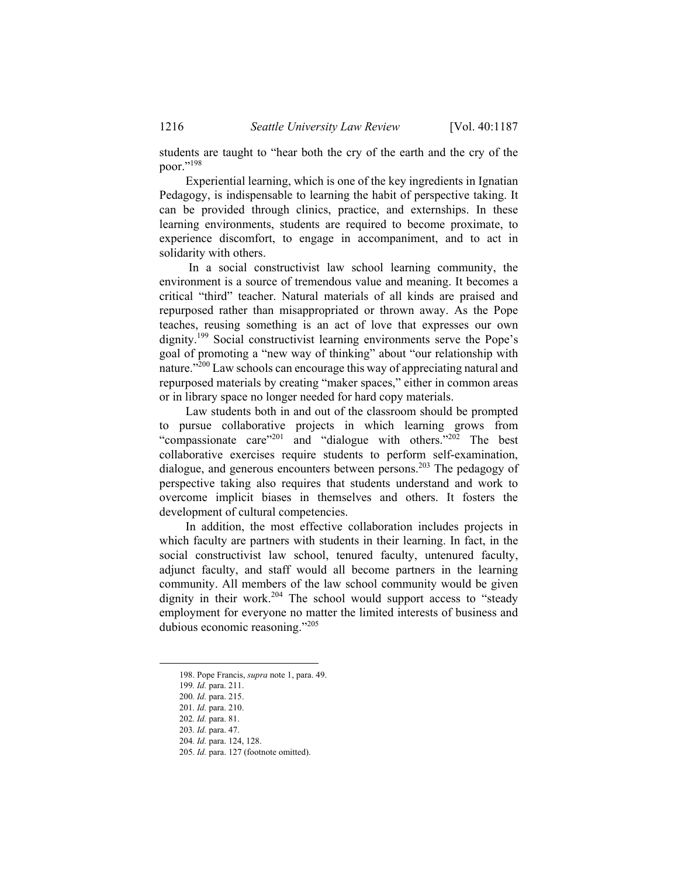students are taught to "hear both the cry of the earth and the cry of the poor."198

Experiential learning, which is one of the key ingredients in Ignatian Pedagogy, is indispensable to learning the habit of perspective taking. It can be provided through clinics, practice, and externships. In these learning environments, students are required to become proximate, to experience discomfort, to engage in accompaniment, and to act in solidarity with others.

 In a social constructivist law school learning community, the environment is a source of tremendous value and meaning. It becomes a critical "third" teacher. Natural materials of all kinds are praised and repurposed rather than misappropriated or thrown away. As the Pope teaches, reusing something is an act of love that expresses our own dignity.199 Social constructivist learning environments serve the Pope's goal of promoting a "new way of thinking" about "our relationship with nature."200 Law schools can encourage this way of appreciating natural and repurposed materials by creating "maker spaces," either in common areas or in library space no longer needed for hard copy materials.

Law students both in and out of the classroom should be prompted to pursue collaborative projects in which learning grows from "compassionate care"<sup>201</sup> and "dialogue with others."<sup>202</sup> The best collaborative exercises require students to perform self-examination, dialogue, and generous encounters between persons.<sup>203</sup> The pedagogy of perspective taking also requires that students understand and work to overcome implicit biases in themselves and others. It fosters the development of cultural competencies.

In addition, the most effective collaboration includes projects in which faculty are partners with students in their learning. In fact, in the social constructivist law school, tenured faculty, untenured faculty, adjunct faculty, and staff would all become partners in the learning community. All members of the law school community would be given dignity in their work.<sup>204</sup> The school would support access to "steady" employment for everyone no matter the limited interests of business and dubious economic reasoning."<sup>205</sup>

1

 <sup>198.</sup> Pope Francis, *supra* note 1, para. 49.

<sup>199</sup>*. Id.* para. 211.

<sup>200</sup>*. Id.* para. 215.

<sup>201</sup>*. Id.* para. 210.

<sup>202</sup>*. Id.* para. 81.

<sup>203</sup>*. Id.* para. 47.

<sup>204</sup>*. Id.* para. 124, 128.

<sup>205</sup>*. Id.* para. 127 (footnote omitted).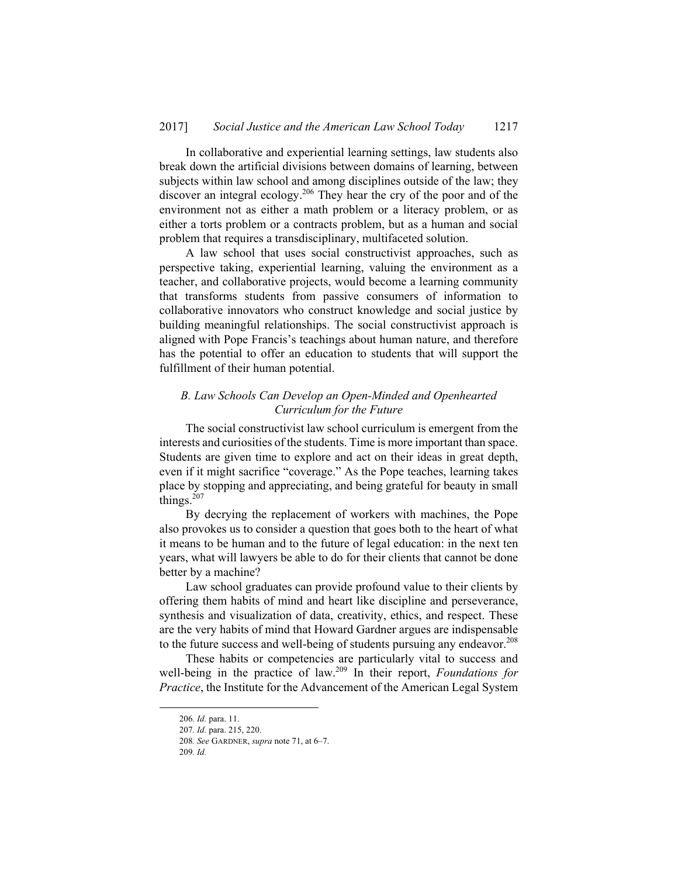In collaborative and experiential learning settings, law students also break down the artificial divisions between domains of learning, between subjects within law school and among disciplines outside of the law; they discover an integral ecology.206 They hear the cry of the poor and of the environment not as either a math problem or a literacy problem, or as either a torts problem or a contracts problem, but as a human and social problem that requires a transdisciplinary, multifaceted solution.

A law school that uses social constructivist approaches, such as perspective taking, experiential learning, valuing the environment as a teacher, and collaborative projects, would become a learning community that transforms students from passive consumers of information to collaborative innovators who construct knowledge and social justice by building meaningful relationships. The social constructivist approach is aligned with Pope Francis's teachings about human nature, and therefore has the potential to offer an education to students that will support the fulfillment of their human potential.

## *B. Law Schools Can Develop an Open-Minded and Openhearted Curriculum for the Future*

The social constructivist law school curriculum is emergent from the interests and curiosities of the students. Time is more important than space. Students are given time to explore and act on their ideas in great depth, even if it might sacrifice "coverage." As the Pope teaches, learning takes place by stopping and appreciating, and being grateful for beauty in small things. $207$ 

By decrying the replacement of workers with machines, the Pope also provokes us to consider a question that goes both to the heart of what it means to be human and to the future of legal education: in the next ten years, what will lawyers be able to do for their clients that cannot be done better by a machine?

Law school graduates can provide profound value to their clients by offering them habits of mind and heart like discipline and perseverance, synthesis and visualization of data, creativity, ethics, and respect. These are the very habits of mind that Howard Gardner argues are indispensable to the future success and well-being of students pursuing any endeavor.<sup>208</sup>

These habits or competencies are particularly vital to success and well-being in the practice of law.<sup>209</sup> In their report, *Foundations for Practice*, the Institute for the Advancement of the American Legal System

 <sup>206</sup>*. Id.* para. 11.

<sup>207</sup>*. Id.* para. 215, 220.

<sup>208</sup>*. See* GARDNER, *supra* note 71, at 6–7.

<sup>209</sup>*. Id.*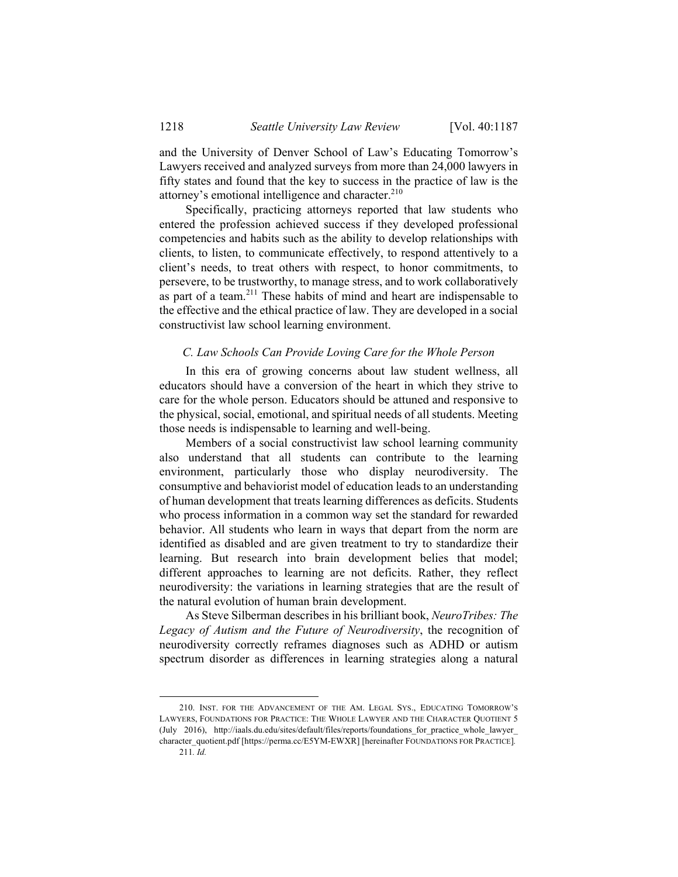and the University of Denver School of Law's Educating Tomorrow's Lawyers received and analyzed surveys from more than 24,000 lawyers in fifty states and found that the key to success in the practice of law is the attorney's emotional intelligence and character.<sup>210</sup>

Specifically, practicing attorneys reported that law students who entered the profession achieved success if they developed professional competencies and habits such as the ability to develop relationships with clients, to listen, to communicate effectively, to respond attentively to a client's needs, to treat others with respect, to honor commitments, to persevere, to be trustworthy, to manage stress, and to work collaboratively as part of a team. $2^{11}$  These habits of mind and heart are indispensable to the effective and the ethical practice of law. They are developed in a social constructivist law school learning environment.

#### *C. Law Schools Can Provide Loving Care for the Whole Person*

In this era of growing concerns about law student wellness, all educators should have a conversion of the heart in which they strive to care for the whole person. Educators should be attuned and responsive to the physical, social, emotional, and spiritual needs of all students. Meeting those needs is indispensable to learning and well-being.

Members of a social constructivist law school learning community also understand that all students can contribute to the learning environment, particularly those who display neurodiversity. The consumptive and behaviorist model of education leads to an understanding of human development that treats learning differences as deficits. Students who process information in a common way set the standard for rewarded behavior. All students who learn in ways that depart from the norm are identified as disabled and are given treatment to try to standardize their learning. But research into brain development belies that model; different approaches to learning are not deficits. Rather, they reflect neurodiversity: the variations in learning strategies that are the result of the natural evolution of human brain development.

As Steve Silberman describes in his brilliant book, *NeuroTribes: The Legacy of Autism and the Future of Neurodiversity*, the recognition of neurodiversity correctly reframes diagnoses such as ADHD or autism spectrum disorder as differences in learning strategies along a natural

 <sup>210.</sup> INST. FOR THE ADVANCEMENT OF THE AM. LEGAL SYS., EDUCATING TOMORROW'S LAWYERS, FOUNDATIONS FOR PRACTICE: THE WHOLE LAWYER AND THE CHARACTER QUOTIENT 5 (July 2016), http://iaals.du.edu/sites/default/files/reports/foundations\_for\_practice\_whole\_lawyer\_ character\_quotient.pdf [https://perma.cc/E5YM-EWXR] [hereinafter FOUNDATIONS FOR PRACTICE]*.* 211*. Id.*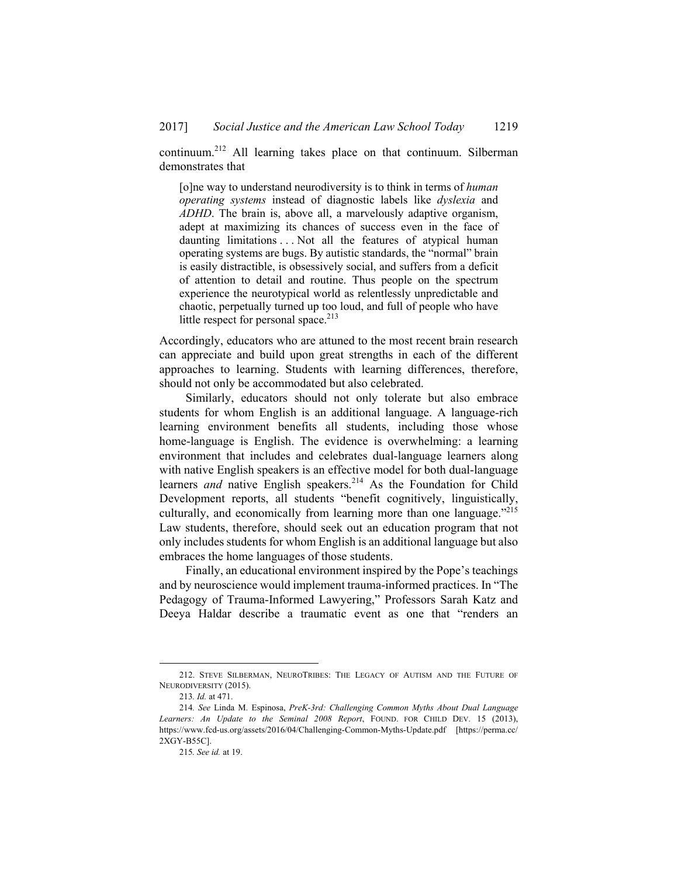continuum.212 All learning takes place on that continuum. Silberman demonstrates that

[o]ne way to understand neurodiversity is to think in terms of *human operating systems* instead of diagnostic labels like *dyslexia* and *ADHD*. The brain is, above all, a marvelously adaptive organism, adept at maximizing its chances of success even in the face of daunting limitations . . . Not all the features of atypical human operating systems are bugs. By autistic standards, the "normal" brain is easily distractible, is obsessively social, and suffers from a deficit of attention to detail and routine. Thus people on the spectrum experience the neurotypical world as relentlessly unpredictable and chaotic, perpetually turned up too loud, and full of people who have little respect for personal space.<sup>213</sup>

Accordingly, educators who are attuned to the most recent brain research can appreciate and build upon great strengths in each of the different approaches to learning. Students with learning differences, therefore, should not only be accommodated but also celebrated.

Similarly, educators should not only tolerate but also embrace students for whom English is an additional language. A language-rich learning environment benefits all students, including those whose home-language is English. The evidence is overwhelming: a learning environment that includes and celebrates dual-language learners along with native English speakers is an effective model for both dual-language learners *and* native English speakers.<sup>214</sup> As the Foundation for Child Development reports, all students "benefit cognitively, linguistically, culturally, and economically from learning more than one language."215 Law students, therefore, should seek out an education program that not only includes students for whom English is an additional language but also embraces the home languages of those students.

Finally, an educational environment inspired by the Pope's teachings and by neuroscience would implement trauma-informed practices. In "The Pedagogy of Trauma-Informed Lawyering," Professors Sarah Katz and Deeya Haldar describe a traumatic event as one that "renders an

1

 <sup>212.</sup> STEVE SILBERMAN, NEUROTRIBES: THE LEGACY OF AUTISM AND THE FUTURE OF NEURODIVERSITY (2015).

<sup>213</sup>*. Id.* at 471.

<sup>214</sup>*. See* Linda M. Espinosa, *PreK-3rd: Challenging Common Myths About Dual Language Learners: An Update to the Seminal 2008 Report*, FOUND. FOR CHILD DEV. 15 (2013), https://www.fcd-us.org/assets/2016/04/Challenging-Common-Myths-Update.pdf [https://perma.cc/ 2XGY-B55C].

<sup>215</sup>*. See id.* at 19.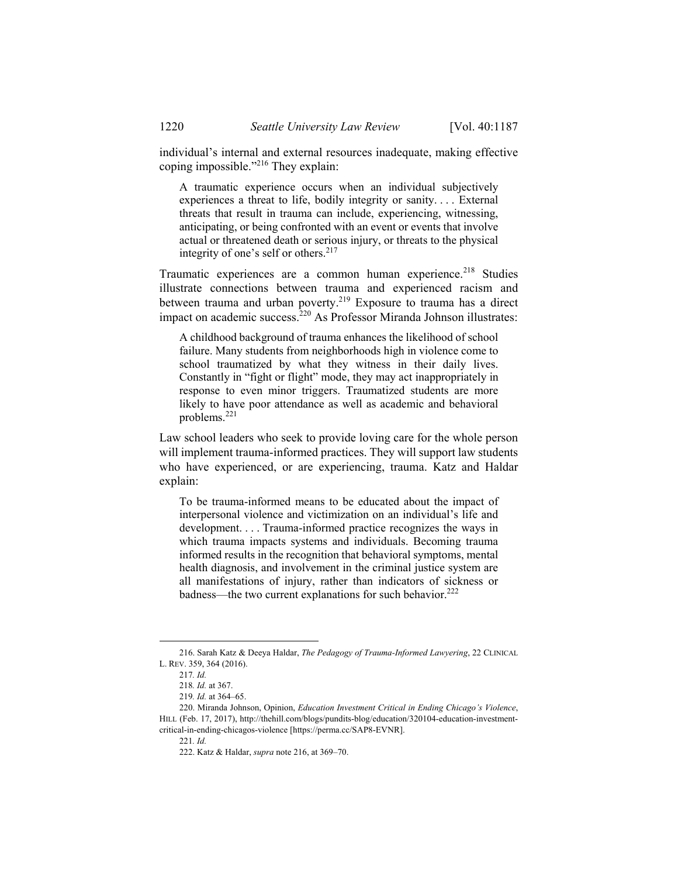individual's internal and external resources inadequate, making effective coping impossible."216 They explain:

A traumatic experience occurs when an individual subjectively experiences a threat to life, bodily integrity or sanity. . . . External threats that result in trauma can include, experiencing, witnessing, anticipating, or being confronted with an event or events that involve actual or threatened death or serious injury, or threats to the physical integrity of one's self or others.<sup>217</sup>

Traumatic experiences are a common human experience.<sup>218</sup> Studies illustrate connections between trauma and experienced racism and between trauma and urban poverty.<sup>219</sup> Exposure to trauma has a direct impact on academic success.<sup>220</sup> As Professor Miranda Johnson illustrates:

A childhood background of trauma enhances the likelihood of school failure. Many students from neighborhoods high in violence come to school traumatized by what they witness in their daily lives. Constantly in "fight or flight" mode, they may act inappropriately in response to even minor triggers. Traumatized students are more likely to have poor attendance as well as academic and behavioral problems.<sup>221</sup>

Law school leaders who seek to provide loving care for the whole person will implement trauma-informed practices. They will support law students who have experienced, or are experiencing, trauma. Katz and Haldar explain:

To be trauma-informed means to be educated about the impact of interpersonal violence and victimization on an individual's life and development. . . . Trauma-informed practice recognizes the ways in which trauma impacts systems and individuals. Becoming trauma informed results in the recognition that behavioral symptoms, mental health diagnosis, and involvement in the criminal justice system are all manifestations of injury, rather than indicators of sickness or badness—the two current explanations for such behavior.<sup>222</sup>

 <sup>216.</sup> Sarah Katz & Deeya Haldar, *The Pedagogy of Trauma-Informed Lawyering*, 22 CLINICAL L. REV. 359, 364 (2016).

<sup>217</sup>*. Id.*

<sup>218</sup>*. Id.* at 367.

<sup>219</sup>*. Id.* at 364–65.

 <sup>220.</sup> Miranda Johnson, Opinion, *Education Investment Critical in Ending Chicago's Violence*, HILL (Feb. 17, 2017), http://thehill.com/blogs/pundits-blog/education/320104-education-investmentcritical-in-ending-chicagos-violence [https://perma.cc/SAP8-EVNR].

<sup>221</sup>*. Id.*

 <sup>222.</sup> Katz & Haldar, *supra* note 216, at 369–70.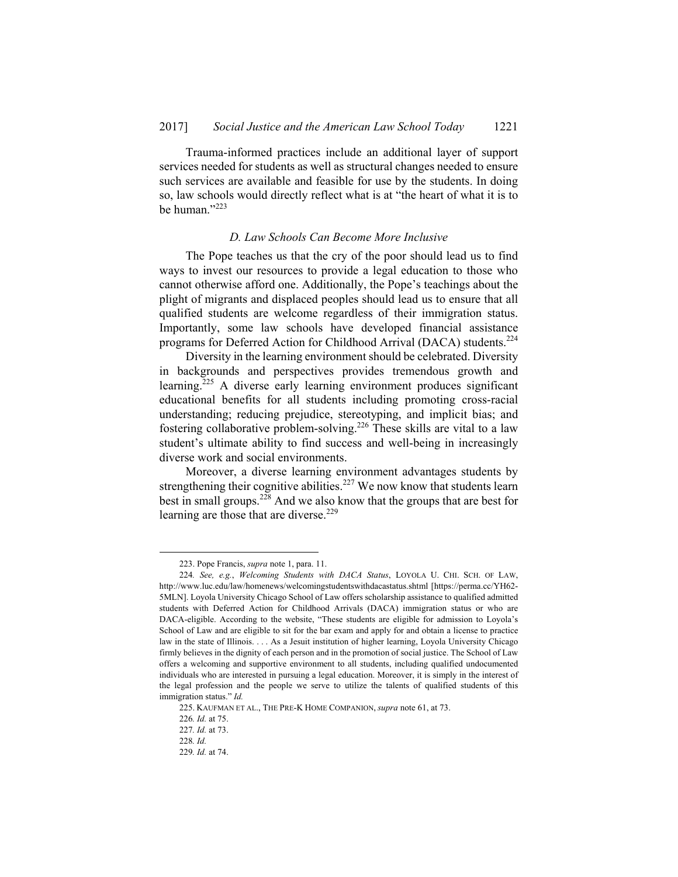Trauma-informed practices include an additional layer of support services needed for students as well as structural changes needed to ensure such services are available and feasible for use by the students. In doing so, law schools would directly reflect what is at "the heart of what it is to be human."<sup>223</sup>

#### *D. Law Schools Can Become More Inclusive*

The Pope teaches us that the cry of the poor should lead us to find ways to invest our resources to provide a legal education to those who cannot otherwise afford one. Additionally, the Pope's teachings about the plight of migrants and displaced peoples should lead us to ensure that all qualified students are welcome regardless of their immigration status. Importantly, some law schools have developed financial assistance programs for Deferred Action for Childhood Arrival (DACA) students.<sup>224</sup>

Diversity in the learning environment should be celebrated. Diversity in backgrounds and perspectives provides tremendous growth and learning.225 A diverse early learning environment produces significant educational benefits for all students including promoting cross-racial understanding; reducing prejudice, stereotyping, and implicit bias; and fostering collaborative problem-solving.<sup>226</sup> These skills are vital to a law student's ultimate ability to find success and well-being in increasingly diverse work and social environments.

Moreover, a diverse learning environment advantages students by strengthening their cognitive abilities.<sup>227</sup> We now know that students learn best in small groups.<sup>228</sup> And we also know that the groups that are best for learning are those that are diverse.<sup>229</sup>

 <sup>223.</sup> Pope Francis, *supra* note 1, para. 11.

<sup>224</sup>*. See, e.g.*, *Welcoming Students with DACA Status*, LOYOLA U. CHI. SCH. OF LAW, http://www.luc.edu/law/homenews/welcomingstudentswithdacastatus.shtml [https://perma.cc/YH62- 5MLN]. Loyola University Chicago School of Law offers scholarship assistance to qualified admitted students with Deferred Action for Childhood Arrivals (DACA) immigration status or who are DACA-eligible. According to the website, "These students are eligible for admission to Loyola's School of Law and are eligible to sit for the bar exam and apply for and obtain a license to practice law in the state of Illinois. . . . As a Jesuit institution of higher learning, Loyola University Chicago firmly believes in the dignity of each person and in the promotion of social justice. The School of Law offers a welcoming and supportive environment to all students, including qualified undocumented individuals who are interested in pursuing a legal education. Moreover, it is simply in the interest of the legal profession and the people we serve to utilize the talents of qualified students of this immigration status." *Id.*

 <sup>225.</sup> KAUFMAN ET AL., THE PRE-K HOME COMPANION, *supra* note 61, at 73.

<sup>226</sup>*. Id.* at 75.

<sup>227</sup>*. Id.* at 73.

<sup>228</sup>*. Id.*

<sup>229</sup>*. Id.* at 74.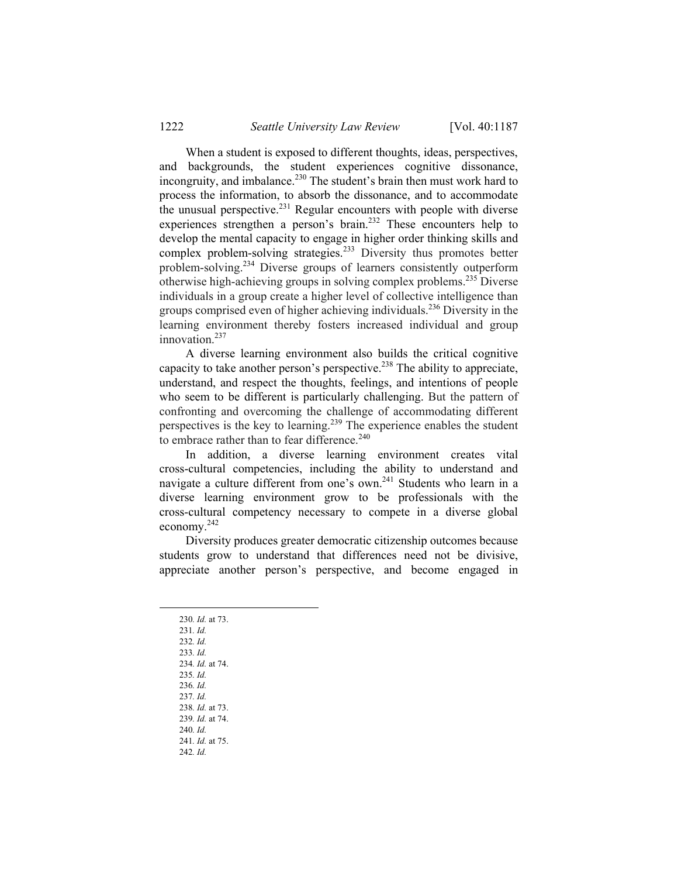When a student is exposed to different thoughts, ideas, perspectives, and backgrounds, the student experiences cognitive dissonance, incongruity, and imbalance.<sup>230</sup> The student's brain then must work hard to process the information, to absorb the dissonance, and to accommodate the unusual perspective. $^{231}$  Regular encounters with people with diverse experiences strengthen a person's brain.<sup>232</sup> These encounters help to develop the mental capacity to engage in higher order thinking skills and complex problem-solving strategies.<sup>233</sup> Diversity thus promotes better problem-solving.234 Diverse groups of learners consistently outperform otherwise high-achieving groups in solving complex problems.235 Diverse individuals in a group create a higher level of collective intelligence than groups comprised even of higher achieving individuals.<sup>236</sup> Diversity in the learning environment thereby fosters increased individual and group innovation.<sup>237</sup>

A diverse learning environment also builds the critical cognitive capacity to take another person's perspective.<sup>238</sup> The ability to appreciate, understand, and respect the thoughts, feelings, and intentions of people who seem to be different is particularly challenging. But the pattern of confronting and overcoming the challenge of accommodating different perspectives is the key to learning.239 The experience enables the student to embrace rather than to fear difference.<sup>240</sup>

In addition, a diverse learning environment creates vital cross-cultural competencies, including the ability to understand and navigate a culture different from one's own.<sup>241</sup> Students who learn in a diverse learning environment grow to be professionals with the cross-cultural competency necessary to compete in a diverse global economy.242

Diversity produces greater democratic citizenship outcomes because students grow to understand that differences need not be divisive, appreciate another person's perspective, and become engaged in

- 230*. Id.* at 73.
- 231*. Id.*
- 232*. Id.*
- 233*. Id.* 234*. Id.* at 74.
- 235*. Id.*
- 236*. Id.*
- 237*. Id.*
- 238*. Id.* at 73.
- 239*. Id.* at 74.
- 240*. Id.*
- 241*. Id.* at 75. 242*. Id.*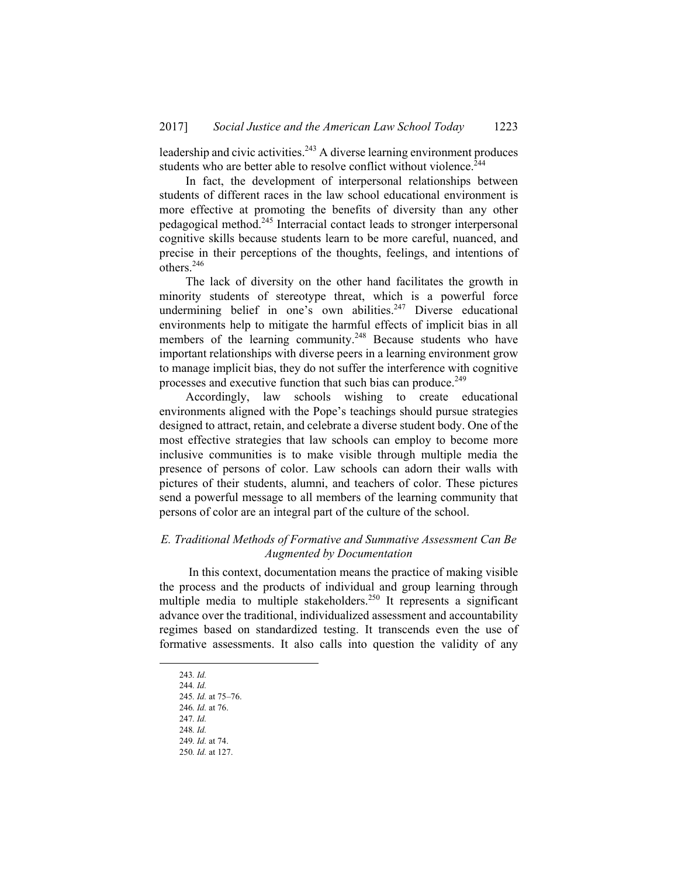leadership and civic activities.<sup>243</sup> A diverse learning environment produces students who are better able to resolve conflict without violence.<sup>244</sup>

In fact, the development of interpersonal relationships between students of different races in the law school educational environment is more effective at promoting the benefits of diversity than any other pedagogical method.245 Interracial contact leads to stronger interpersonal cognitive skills because students learn to be more careful, nuanced, and precise in their perceptions of the thoughts, feelings, and intentions of  $\text{others}.^{246}$ 

The lack of diversity on the other hand facilitates the growth in minority students of stereotype threat, which is a powerful force undermining belief in one's own abilities.<sup>247</sup> Diverse educational environments help to mitigate the harmful effects of implicit bias in all members of the learning community.<sup>248</sup> Because students who have important relationships with diverse peers in a learning environment grow to manage implicit bias, they do not suffer the interference with cognitive processes and executive function that such bias can produce.<sup>249</sup>

Accordingly, law schools wishing to create educational environments aligned with the Pope's teachings should pursue strategies designed to attract, retain, and celebrate a diverse student body. One of the most effective strategies that law schools can employ to become more inclusive communities is to make visible through multiple media the presence of persons of color. Law schools can adorn their walls with pictures of their students, alumni, and teachers of color. These pictures send a powerful message to all members of the learning community that persons of color are an integral part of the culture of the school.

#### *E. Traditional Methods of Formative and Summative Assessment Can Be Augmented by Documentation*

 In this context, documentation means the practice of making visible the process and the products of individual and group learning through multiple media to multiple stakeholders.250 It represents a significant advance over the traditional, individualized assessment and accountability regimes based on standardized testing. It transcends even the use of formative assessments. It also calls into question the validity of any

 <sup>243</sup>*. Id.*

<sup>244</sup>*. Id.*

<sup>245</sup>*. Id.* at 75–76.

<sup>246</sup>*. Id.* at 76.

<sup>247</sup>*. Id.* 248*. Id.* 

<sup>249</sup>*. Id.* at 74.

<sup>250</sup>*. Id.* at 127.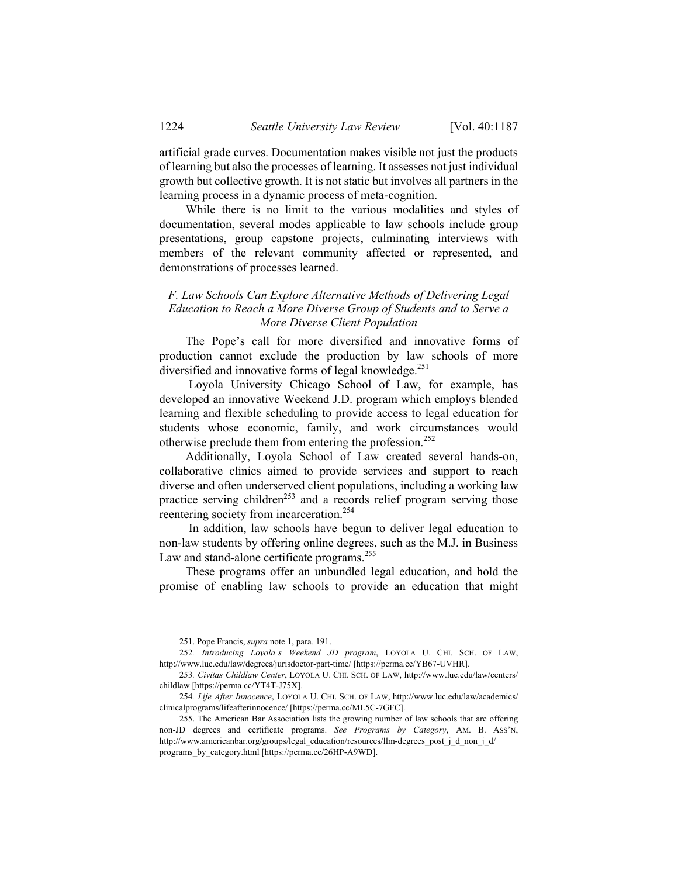artificial grade curves. Documentation makes visible not just the products of learning but also the processes of learning. It assesses not just individual growth but collective growth. It is not static but involves all partners in the learning process in a dynamic process of meta-cognition.

While there is no limit to the various modalities and styles of documentation, several modes applicable to law schools include group presentations, group capstone projects, culminating interviews with members of the relevant community affected or represented, and demonstrations of processes learned.

#### *F. Law Schools Can Explore Alternative Methods of Delivering Legal Education to Reach a More Diverse Group of Students and to Serve a More Diverse Client Population*

The Pope's call for more diversified and innovative forms of production cannot exclude the production by law schools of more diversified and innovative forms of legal knowledge.<sup>251</sup>

 Loyola University Chicago School of Law, for example, has developed an innovative Weekend J.D. program which employs blended learning and flexible scheduling to provide access to legal education for students whose economic, family, and work circumstances would otherwise preclude them from entering the profession.252

Additionally, Loyola School of Law created several hands-on, collaborative clinics aimed to provide services and support to reach diverse and often underserved client populations, including a working law practice serving children<sup>253</sup> and a records relief program serving those reentering society from incarceration.<sup>254</sup>

 In addition, law schools have begun to deliver legal education to non-law students by offering online degrees, such as the M.J. in Business Law and stand-alone certificate programs.<sup>255</sup>

These programs offer an unbundled legal education, and hold the promise of enabling law schools to provide an education that might

1

 <sup>251.</sup> Pope Francis, *supra* note 1, para*.* 191.

<sup>252</sup>*. Introducing Loyola's Weekend JD program*, LOYOLA U. CHI. SCH. OF LAW, http://www.luc.edu/law/degrees/jurisdoctor-part-time/ [https://perma.cc/YB67-UVHR].

<sup>253</sup>*. Civitas Childlaw Center*, LOYOLA U. CHI. SCH. OF LAW, http://www.luc.edu/law/centers/ childlaw [https://perma.cc/YT4T-J75X].

<sup>254</sup>*. Life After Innocence*, LOYOLA U. CHI. SCH. OF LAW, http://www.luc.edu/law/academics/ clinicalprograms/lifeafterinnocence/ [https://perma.cc/ML5C-7GFC].

 <sup>255.</sup> The American Bar Association lists the growing number of law schools that are offering non-JD degrees and certificate programs. *See Programs by Category*, AM. B. ASS'N, http://www.americanbar.org/groups/legal\_education/resources/llm-degrees\_post\_j\_d\_non\_j\_d/ programs\_by\_category.html [https://perma.cc/26HP-A9WD].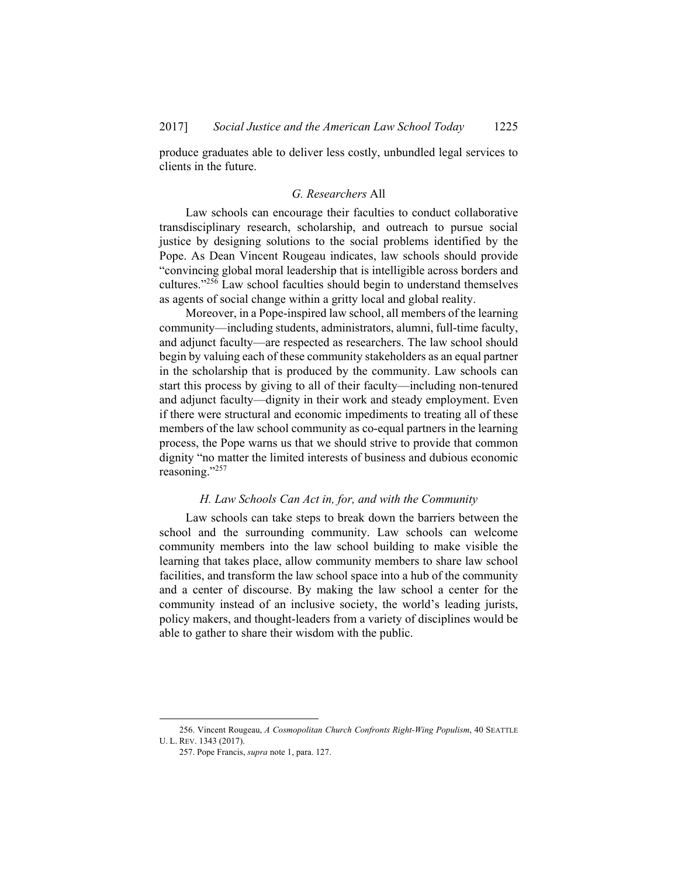produce graduates able to deliver less costly, unbundled legal services to clients in the future.

#### *G. Researchers* All

Law schools can encourage their faculties to conduct collaborative transdisciplinary research, scholarship, and outreach to pursue social justice by designing solutions to the social problems identified by the Pope. As Dean Vincent Rougeau indicates, law schools should provide "convincing global moral leadership that is intelligible across borders and cultures."256 Law school faculties should begin to understand themselves as agents of social change within a gritty local and global reality.

Moreover, in a Pope-inspired law school, all members of the learning community—including students, administrators, alumni, full-time faculty, and adjunct faculty—are respected as researchers. The law school should begin by valuing each of these community stakeholders as an equal partner in the scholarship that is produced by the community. Law schools can start this process by giving to all of their faculty—including non-tenured and adjunct faculty—dignity in their work and steady employment. Even if there were structural and economic impediments to treating all of these members of the law school community as co-equal partners in the learning process, the Pope warns us that we should strive to provide that common dignity "no matter the limited interests of business and dubious economic reasoning."257

#### *H. Law Schools Can Act in, for, and with the Community*

Law schools can take steps to break down the barriers between the school and the surrounding community. Law schools can welcome community members into the law school building to make visible the learning that takes place, allow community members to share law school facilities, and transform the law school space into a hub of the community and a center of discourse. By making the law school a center for the community instead of an inclusive society, the world's leading jurists, policy makers, and thought-leaders from a variety of disciplines would be able to gather to share their wisdom with the public.

 <sup>256.</sup> Vincent Rougeau, *A Cosmopolitan Church Confronts Right-Wing Populism*, 40 SEATTLE U. L. REV. 1343 (2017).

 <sup>257.</sup> Pope Francis, *supra* note 1, para. 127.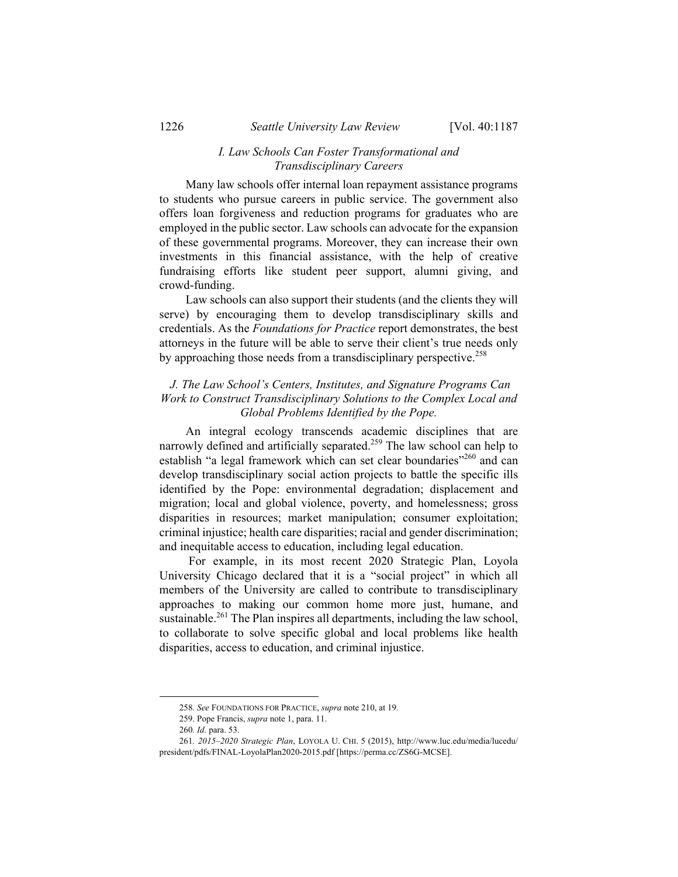#### *I. Law Schools Can Foster Transformational and Transdisciplinary Careers*

Many law schools offer internal loan repayment assistance programs to students who pursue careers in public service. The government also offers loan forgiveness and reduction programs for graduates who are employed in the public sector. Law schools can advocate for the expansion of these governmental programs. Moreover, they can increase their own investments in this financial assistance, with the help of creative fundraising efforts like student peer support, alumni giving, and crowd-funding.

Law schools can also support their students (and the clients they will serve) by encouraging them to develop transdisciplinary skills and credentials. As the *Foundations for Practice* report demonstrates, the best attorneys in the future will be able to serve their client's true needs only by approaching those needs from a transdisciplinary perspective.<sup>258</sup>

## *J. The Law School's Centers, Institutes, and Signature Programs Can Work to Construct Transdisciplinary Solutions to the Complex Local and Global Problems Identified by the Pope.*

An integral ecology transcends academic disciplines that are narrowly defined and artificially separated.<sup>259</sup> The law school can help to establish "a legal framework which can set clear boundaries"<sup>260</sup> and can develop transdisciplinary social action projects to battle the specific ills identified by the Pope: environmental degradation; displacement and migration; local and global violence, poverty, and homelessness; gross disparities in resources; market manipulation; consumer exploitation; criminal injustice; health care disparities; racial and gender discrimination; and inequitable access to education, including legal education.

 For example, in its most recent 2020 Strategic Plan, Loyola University Chicago declared that it is a "social project" in which all members of the University are called to contribute to transdisciplinary approaches to making our common home more just, humane, and sustainable.<sup>261</sup> The Plan inspires all departments, including the law school, to collaborate to solve specific global and local problems like health disparities, access to education, and criminal injustice.

 <sup>258</sup>*. See* FOUNDATIONS FOR PRACTICE, *supra* note 210, at 19*.*

 <sup>259.</sup> Pope Francis, *supra* note 1, para. 11.

<sup>260</sup>*. Id.* para. 53.

<sup>261</sup>*. 2015–2020 Strategic Plan*, LOYOLA U. CHI. 5 (2015), http://www.luc.edu/media/lucedu/ president/pdfs/FINAL-LoyolaPlan2020-2015.pdf [https://perma.cc/ZS6G-MCSE].